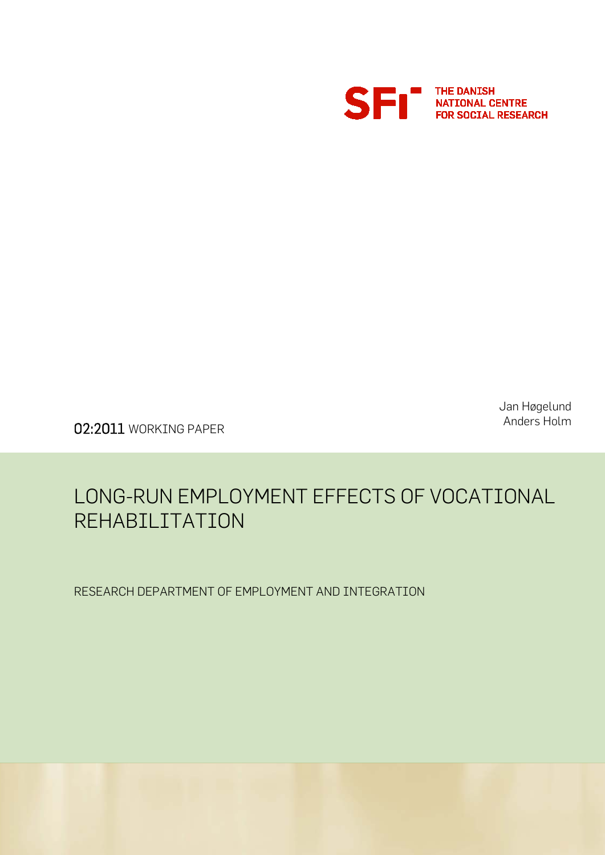

Jan Høgelund Anders Holm

02:2011 WORKING PAPER

## LONG-RUN EMPLOYMENT EFFECTS OF VOCATIONAL REHABILITATION

RESEARCH DEPARTMENT OF EMPLOYMENT AND INTEGRATION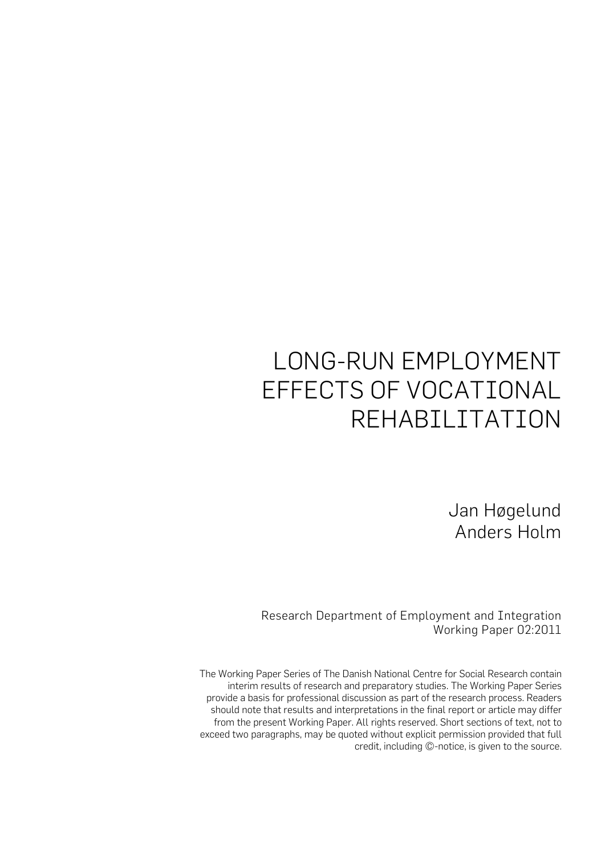# LONG-RUN EMPLOYMENT EFFECTS OF VOCATIONAL REHABILITATION

Jan Høgelund Anders Holm

Research Department of Employment and Integration Working Paper 02:2011

The Working Paper Series of The Danish National Centre for Social Research contain interim results of research and preparatory studies. The Working Paper Series provide a basis for professional discussion as part of the research process. Readers should note that results and interpretations in the final report or article may differ from the present Working Paper. All rights reserved. Short sections of text, not to exceed two paragraphs, may be quoted without explicit permission provided that full credit, including ©-notice, is given to the source.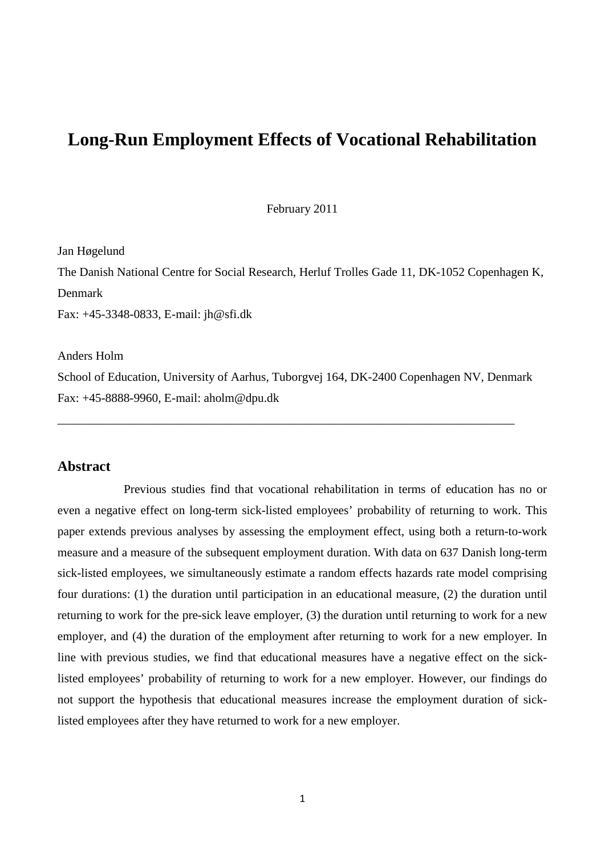### **Long-Run Employment Effects of Vocational Rehabilitation**

February 2011

Jan Høgelund

The Danish National Centre for Social Research, Herluf Trolles Gade 11, DK-1052 Copenhagen K, Denmark

Fax: +45-3348-0833, E-mail: jh@sfi.dk

Anders Holm

School of Education, University of Aarhus, Tuborgvej 164, DK-2400 Copenhagen NV, Denmark Fax: +45-8888-9960, E-mail: aholm@dpu.dk

\_\_\_\_\_\_\_\_\_\_\_\_\_\_\_\_\_\_\_\_\_\_\_\_\_\_\_\_\_\_\_\_\_\_\_\_\_\_\_\_\_\_\_\_\_\_\_\_\_\_\_\_\_\_\_\_\_\_\_\_\_\_\_\_\_\_\_\_\_\_\_\_\_\_\_

#### **Abstract**

Previous studies find that vocational rehabilitation in terms of education has no or even a negative effect on long-term sick-listed employees' probability of returning to work. This paper extends previous analyses by assessing the employment effect, using both a return-to-work measure and a measure of the subsequent employment duration. With data on 637 Danish long-term sick-listed employees, we simultaneously estimate a random effects hazards rate model comprising four durations: (1) the duration until participation in an educational measure, (2) the duration until returning to work for the pre-sick leave employer, (3) the duration until returning to work for a new employer, and (4) the duration of the employment after returning to work for a new employer. In line with previous studies, we find that educational measures have a negative effect on the sicklisted employees' probability of returning to work for a new employer. However, our findings do not support the hypothesis that educational measures increase the employment duration of sicklisted employees after they have returned to work for a new employer.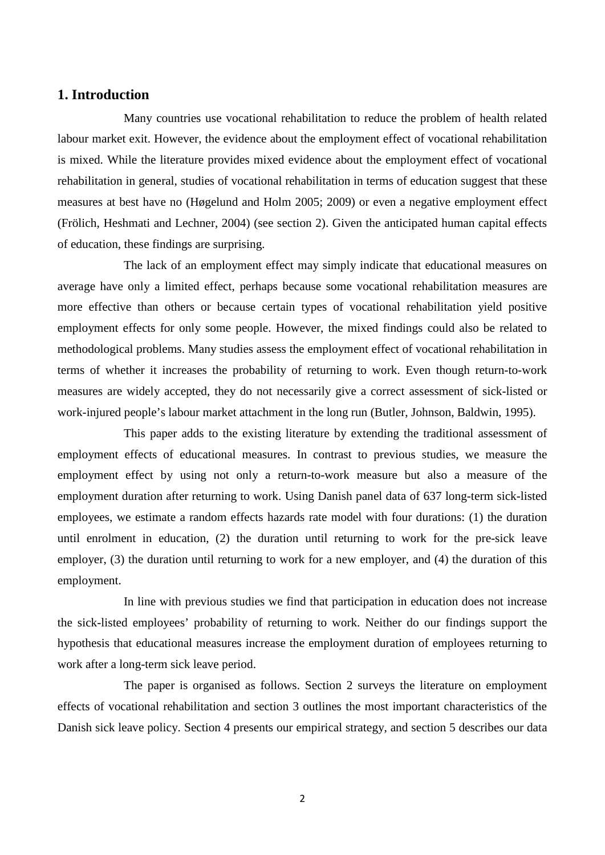#### **1. Introduction**

Many countries use vocational rehabilitation to reduce the problem of health related labour market exit. However, the evidence about the employment effect of vocational rehabilitation is mixed. While the literature provides mixed evidence about the employment effect of vocational rehabilitation in general, studies of vocational rehabilitation in terms of education suggest that these measures at best have no (Høgelund and Holm 2005; 2009) or even a negative employment effect (Frölich, Heshmati and Lechner, 2004) (see section 2). Given the anticipated human capital effects of education, these findings are surprising.

The lack of an employment effect may simply indicate that educational measures on average have only a limited effect, perhaps because some vocational rehabilitation measures are more effective than others or because certain types of vocational rehabilitation yield positive employment effects for only some people. However, the mixed findings could also be related to methodological problems. Many studies assess the employment effect of vocational rehabilitation in terms of whether it increases the probability of returning to work. Even though return-to-work measures are widely accepted, they do not necessarily give a correct assessment of sick-listed or work-injured people's labour market attachment in the long run (Butler, Johnson, Baldwin, 1995).

This paper adds to the existing literature by extending the traditional assessment of employment effects of educational measures. In contrast to previous studies, we measure the employment effect by using not only a return-to-work measure but also a measure of the employment duration after returning to work. Using Danish panel data of 637 long-term sick-listed employees, we estimate a random effects hazards rate model with four durations: (1) the duration until enrolment in education, (2) the duration until returning to work for the pre-sick leave employer, (3) the duration until returning to work for a new employer, and (4) the duration of this employment.

In line with previous studies we find that participation in education does not increase the sick-listed employees' probability of returning to work. Neither do our findings support the hypothesis that educational measures increase the employment duration of employees returning to work after a long-term sick leave period.

The paper is organised as follows. Section 2 surveys the literature on employment effects of vocational rehabilitation and section 3 outlines the most important characteristics of the Danish sick leave policy. Section 4 presents our empirical strategy, and section 5 describes our data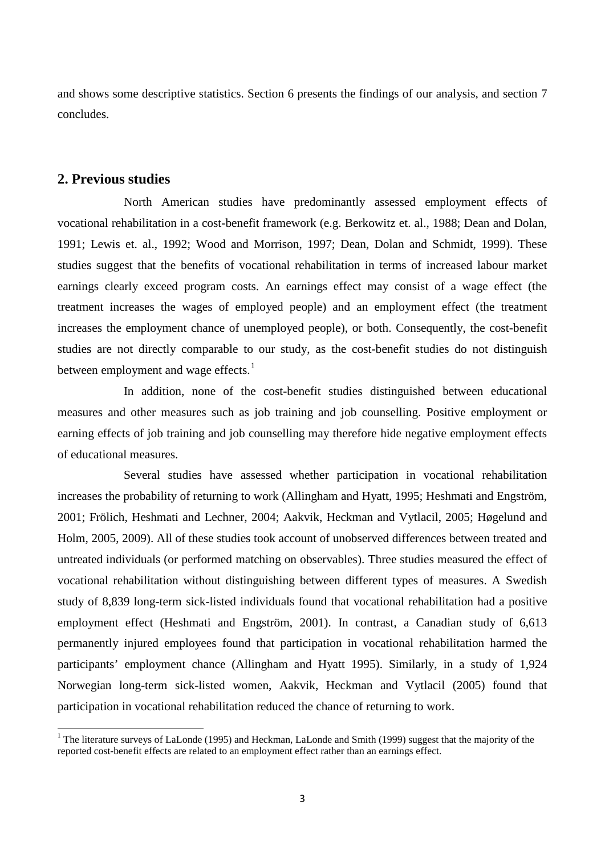and shows some descriptive statistics. Section 6 presents the findings of our analysis, and section 7 concludes.

#### **2. Previous studies**

.<br>-

North American studies have predominantly assessed employment effects of vocational rehabilitation in a cost-benefit framework (e.g. Berkowitz et. al., 1988; Dean and Dolan, 1991; Lewis et. al., 1992; Wood and Morrison, 1997; Dean, Dolan and Schmidt, 1999). These studies suggest that the benefits of vocational rehabilitation in terms of increased labour market earnings clearly exceed program costs. An earnings effect may consist of a wage effect (the treatment increases the wages of employed people) and an employment effect (the treatment increases the employment chance of unemployed people), or both. Consequently, the cost-benefit studies are not directly comparable to our study, as the cost-benefit studies do not distinguish between employment and wage effects. $<sup>1</sup>$  $<sup>1</sup>$  $<sup>1</sup>$ </sup>

In addition, none of the cost-benefit studies distinguished between educational measures and other measures such as job training and job counselling. Positive employment or earning effects of job training and job counselling may therefore hide negative employment effects of educational measures.

Several studies have assessed whether participation in vocational rehabilitation increases the probability of returning to work (Allingham and Hyatt, 1995; Heshmati and Engström, 2001; Frölich, Heshmati and Lechner, 2004; Aakvik, Heckman and Vytlacil, 2005; Høgelund and Holm, 2005, 2009). All of these studies took account of unobserved differences between treated and untreated individuals (or performed matching on observables). Three studies measured the effect of vocational rehabilitation without distinguishing between different types of measures. A Swedish study of 8,839 long-term sick-listed individuals found that vocational rehabilitation had a positive employment effect (Heshmati and Engström, 2001). In contrast, a Canadian study of 6,613 permanently injured employees found that participation in vocational rehabilitation harmed the participants' employment chance (Allingham and Hyatt 1995). Similarly, in a study of 1,924 Norwegian long-term sick-listed women, Aakvik, Heckman and Vytlacil (2005) found that participation in vocational rehabilitation reduced the chance of returning to work.

<span id="page-4-0"></span><sup>&</sup>lt;sup>1</sup> The literature surveys of LaLonde (1995) and Heckman, LaLonde and Smith (1999) suggest that the majority of the reported cost-benefit effects are related to an employment effect rather than an earnings effect.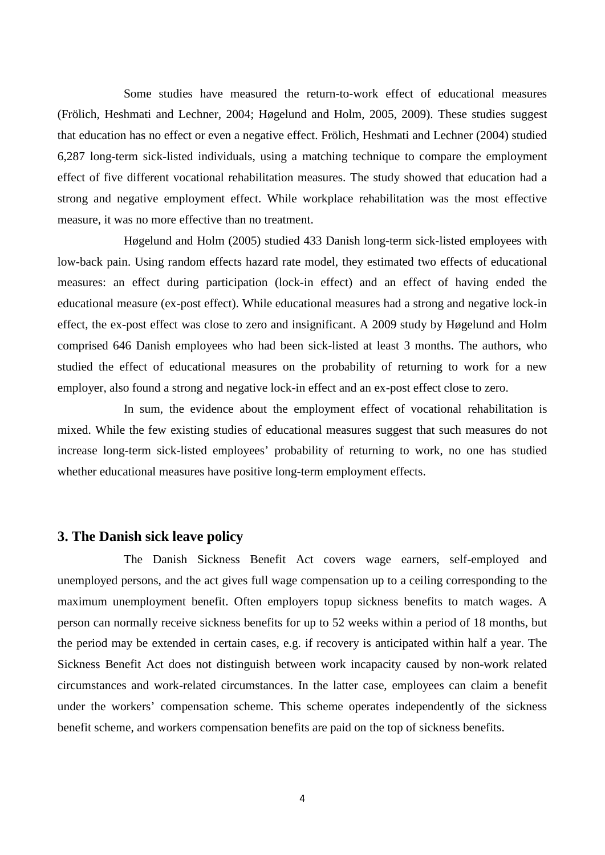Some studies have measured the return-to-work effect of educational measures (Frölich, Heshmati and Lechner, 2004; Høgelund and Holm, 2005, 2009). These studies suggest that education has no effect or even a negative effect. Frölich, Heshmati and Lechner (2004) studied 6,287 long-term sick-listed individuals, using a matching technique to compare the employment effect of five different vocational rehabilitation measures. The study showed that education had a strong and negative employment effect. While workplace rehabilitation was the most effective measure, it was no more effective than no treatment.

Høgelund and Holm (2005) studied 433 Danish long-term sick-listed employees with low-back pain. Using random effects hazard rate model, they estimated two effects of educational measures: an effect during participation (lock-in effect) and an effect of having ended the educational measure (ex-post effect). While educational measures had a strong and negative lock-in effect, the ex-post effect was close to zero and insignificant. A 2009 study by Høgelund and Holm comprised 646 Danish employees who had been sick-listed at least 3 months. The authors, who studied the effect of educational measures on the probability of returning to work for a new employer, also found a strong and negative lock-in effect and an ex-post effect close to zero.

In sum, the evidence about the employment effect of vocational rehabilitation is mixed. While the few existing studies of educational measures suggest that such measures do not increase long-term sick-listed employees' probability of returning to work, no one has studied whether educational measures have positive long-term employment effects.

#### **3. The Danish sick leave policy**

The Danish Sickness Benefit Act covers wage earners, self-employed and unemployed persons, and the act gives full wage compensation up to a ceiling corresponding to the maximum unemployment benefit. Often employers topup sickness benefits to match wages. A person can normally receive sickness benefits for up to 52 weeks within a period of 18 months, but the period may be extended in certain cases, e.g. if recovery is anticipated within half a year. The Sickness Benefit Act does not distinguish between work incapacity caused by non-work related circumstances and work-related circumstances. In the latter case, employees can claim a benefit under the workers' compensation scheme. This scheme operates independently of the sickness benefit scheme, and workers compensation benefits are paid on the top of sickness benefits.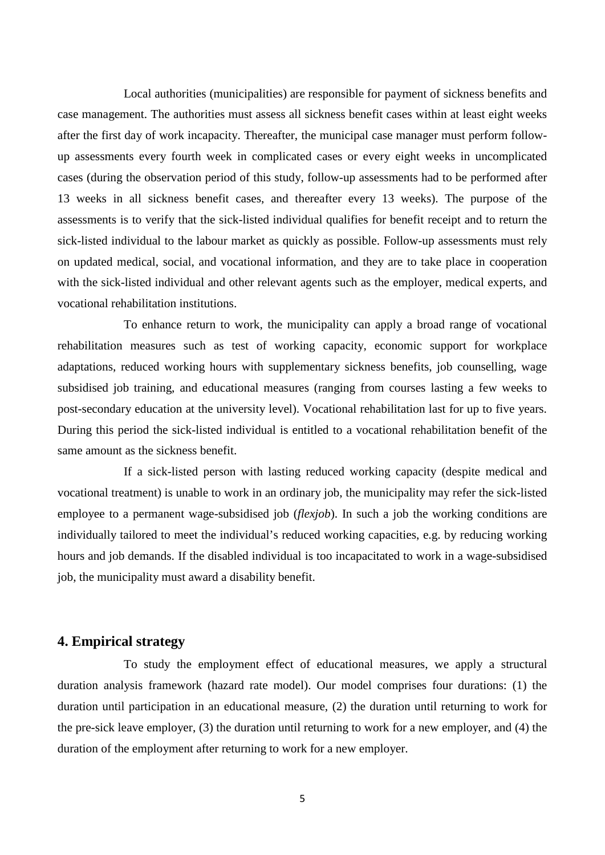Local authorities (municipalities) are responsible for payment of sickness benefits and case management. The authorities must assess all sickness benefit cases within at least eight weeks after the first day of work incapacity. Thereafter, the municipal case manager must perform followup assessments every fourth week in complicated cases or every eight weeks in uncomplicated cases (during the observation period of this study, follow-up assessments had to be performed after 13 weeks in all sickness benefit cases, and thereafter every 13 weeks). The purpose of the assessments is to verify that the sick-listed individual qualifies for benefit receipt and to return the sick-listed individual to the labour market as quickly as possible. Follow-up assessments must rely on updated medical, social, and vocational information, and they are to take place in cooperation with the sick-listed individual and other relevant agents such as the employer, medical experts, and vocational rehabilitation institutions.

To enhance return to work, the municipality can apply a broad range of vocational rehabilitation measures such as test of working capacity, economic support for workplace adaptations, reduced working hours with supplementary sickness benefits, job counselling, wage subsidised job training, and educational measures (ranging from courses lasting a few weeks to post-secondary education at the university level). Vocational rehabilitation last for up to five years. During this period the sick-listed individual is entitled to a vocational rehabilitation benefit of the same amount as the sickness benefit.

If a sick-listed person with lasting reduced working capacity (despite medical and vocational treatment) is unable to work in an ordinary job, the municipality may refer the sick-listed employee to a permanent wage-subsidised job (*flexjob*). In such a job the working conditions are individually tailored to meet the individual's reduced working capacities, e.g. by reducing working hours and job demands. If the disabled individual is too incapacitated to work in a wage-subsidised job, the municipality must award a disability benefit.

#### **4. Empirical strategy**

To study the employment effect of educational measures, we apply a structural duration analysis framework (hazard rate model). Our model comprises four durations: (1) the duration until participation in an educational measure, (2) the duration until returning to work for the pre-sick leave employer, (3) the duration until returning to work for a new employer, and (4) the duration of the employment after returning to work for a new employer.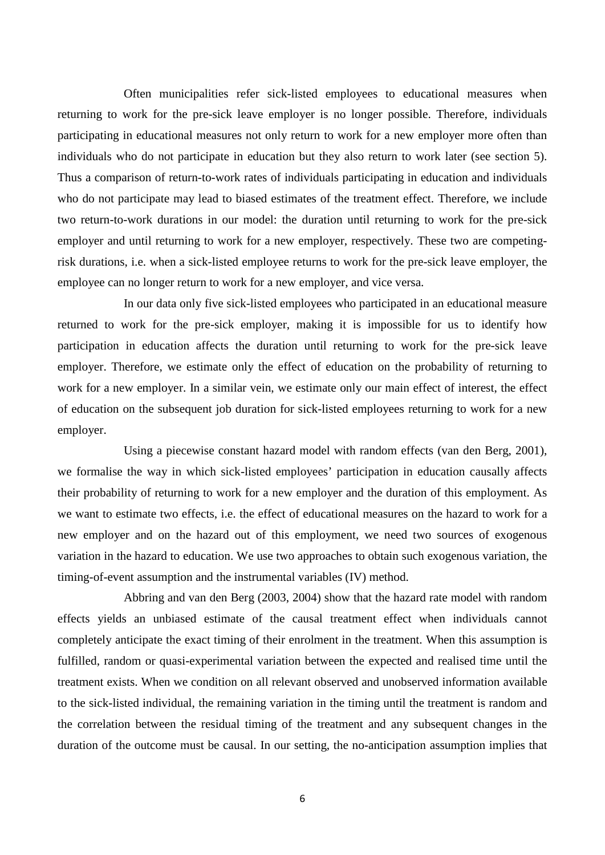Often municipalities refer sick-listed employees to educational measures when returning to work for the pre-sick leave employer is no longer possible. Therefore, individuals participating in educational measures not only return to work for a new employer more often than individuals who do not participate in education but they also return to work later (see section 5). Thus a comparison of return-to-work rates of individuals participating in education and individuals who do not participate may lead to biased estimates of the treatment effect. Therefore, we include two return-to-work durations in our model: the duration until returning to work for the pre-sick employer and until returning to work for a new employer, respectively. These two are competingrisk durations, i.e. when a sick-listed employee returns to work for the pre-sick leave employer, the employee can no longer return to work for a new employer, and vice versa.

In our data only five sick-listed employees who participated in an educational measure returned to work for the pre-sick employer, making it is impossible for us to identify how participation in education affects the duration until returning to work for the pre-sick leave employer. Therefore, we estimate only the effect of education on the probability of returning to work for a new employer. In a similar vein, we estimate only our main effect of interest, the effect of education on the subsequent job duration for sick-listed employees returning to work for a new employer.

Using a piecewise constant hazard model with random effects (van den Berg, 2001), we formalise the way in which sick-listed employees' participation in education causally affects their probability of returning to work for a new employer and the duration of this employment. As we want to estimate two effects, i.e. the effect of educational measures on the hazard to work for a new employer and on the hazard out of this employment, we need two sources of exogenous variation in the hazard to education. We use two approaches to obtain such exogenous variation, the timing-of-event assumption and the instrumental variables (IV) method.

Abbring and van den Berg (2003, 2004) show that the hazard rate model with random effects yields an unbiased estimate of the causal treatment effect when individuals cannot completely anticipate the exact timing of their enrolment in the treatment. When this assumption is fulfilled, random or quasi-experimental variation between the expected and realised time until the treatment exists. When we condition on all relevant observed and unobserved information available to the sick-listed individual, the remaining variation in the timing until the treatment is random and the correlation between the residual timing of the treatment and any subsequent changes in the duration of the outcome must be causal. In our setting, the no-anticipation assumption implies that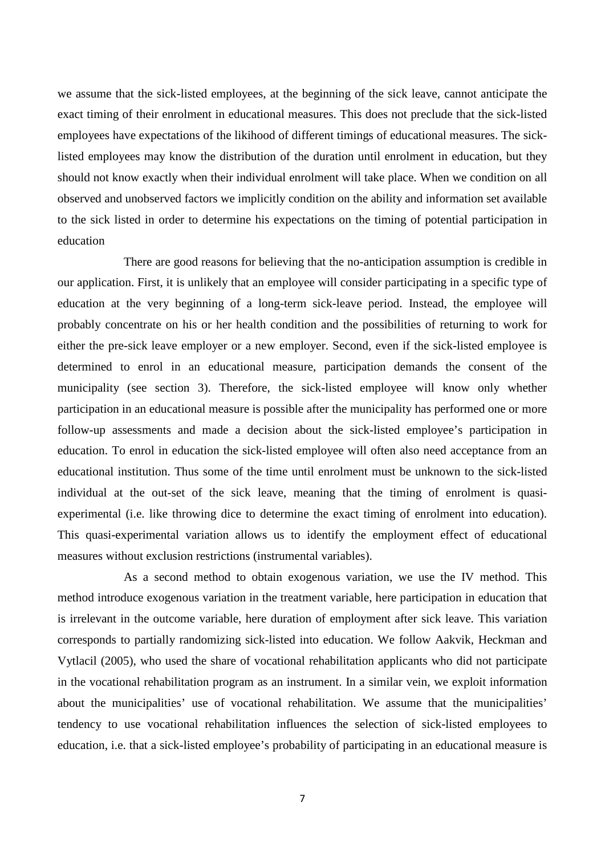we assume that the sick-listed employees, at the beginning of the sick leave, cannot anticipate the exact timing of their enrolment in educational measures. This does not preclude that the sick-listed employees have expectations of the likihood of different timings of educational measures. The sicklisted employees may know the distribution of the duration until enrolment in education, but they should not know exactly when their individual enrolment will take place. When we condition on all observed and unobserved factors we implicitly condition on the ability and information set available to the sick listed in order to determine his expectations on the timing of potential participation in education

There are good reasons for believing that the no-anticipation assumption is credible in our application. First, it is unlikely that an employee will consider participating in a specific type of education at the very beginning of a long-term sick-leave period. Instead, the employee will probably concentrate on his or her health condition and the possibilities of returning to work for either the pre-sick leave employer or a new employer. Second, even if the sick-listed employee is determined to enrol in an educational measure, participation demands the consent of the municipality (see section 3). Therefore, the sick-listed employee will know only whether participation in an educational measure is possible after the municipality has performed one or more follow-up assessments and made a decision about the sick-listed employee's participation in education. To enrol in education the sick-listed employee will often also need acceptance from an educational institution. Thus some of the time until enrolment must be unknown to the sick-listed individual at the out-set of the sick leave, meaning that the timing of enrolment is quasiexperimental (i.e. like throwing dice to determine the exact timing of enrolment into education). This quasi-experimental variation allows us to identify the employment effect of educational measures without exclusion restrictions (instrumental variables).

As a second method to obtain exogenous variation, we use the IV method. This method introduce exogenous variation in the treatment variable, here participation in education that is irrelevant in the outcome variable, here duration of employment after sick leave. This variation corresponds to partially randomizing sick-listed into education. We follow Aakvik, Heckman and Vytlacil (2005), who used the share of vocational rehabilitation applicants who did not participate in the vocational rehabilitation program as an instrument. In a similar vein, we exploit information about the municipalities' use of vocational rehabilitation. We assume that the municipalities' tendency to use vocational rehabilitation influences the selection of sick-listed employees to education, i.e. that a sick-listed employee's probability of participating in an educational measure is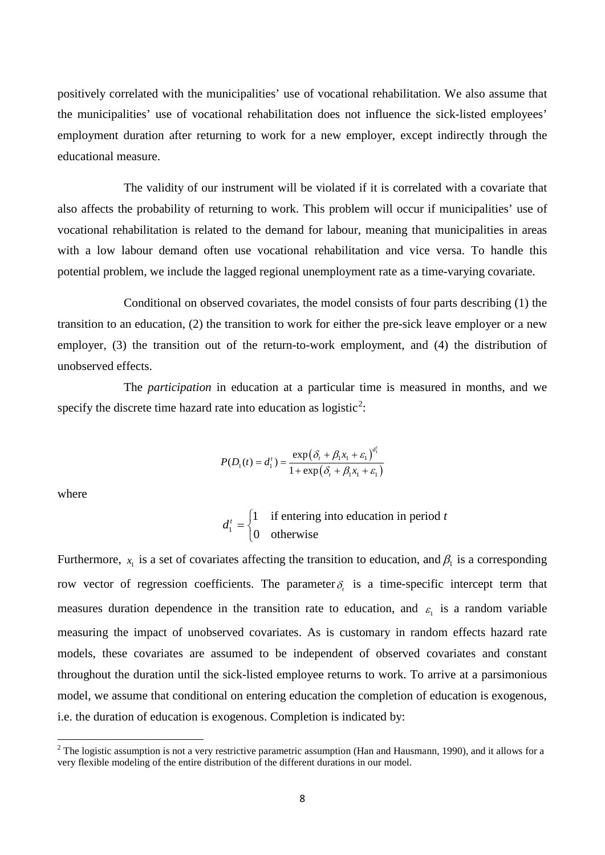positively correlated with the municipalities' use of vocational rehabilitation. We also assume that the municipalities' use of vocational rehabilitation does not influence the sick-listed employees' employment duration after returning to work for a new employer, except indirectly through the educational measure.

The validity of our instrument will be violated if it is correlated with a covariate that also affects the probability of returning to work. This problem will occur if municipalities' use of vocational rehabilitation is related to the demand for labour, meaning that municipalities in areas with a low labour demand often use vocational rehabilitation and vice versa. To handle this potential problem, we include the lagged regional unemployment rate as a time-varying covariate.

Conditional on observed covariates, the model consists of four parts describing (1) the transition to an education, (2) the transition to work for either the pre-sick leave employer or a new employer, (3) the transition out of the return-to-work employment, and (4) the distribution of unobserved effects.

The *participation* in education at a particular time is measured in months, and we specify the discrete time hazard rate into education as logistic<sup>[2](#page-9-0)</sup>:

$$
P(D_1(t) = d_1^t) = \frac{\exp(\delta_t + \beta_1 x_1 + \varepsilon_1)^{d_1^t}}{1 + \exp(\delta_t + \beta_1 x_1 + \varepsilon_1)}
$$

where

.<br>-

1 1 if entering into education in period 0 otherwise  $d_1^t = \begin{cases} 1 & \text{if entering into education in period } t \\ 0 & \text{otherwise.} \end{cases}$  $\overline{\mathcal{L}}$ 

Furthermore,  $x_i$  is a set of covariates affecting the transition to education, and  $\beta_1$  is a corresponding row vector of regression coefficients. The parameter  $\delta$ , is a time-specific intercept term that measures duration dependence in the transition rate to education, and  $\varepsilon_1$  is a random variable measuring the impact of unobserved covariates. As is customary in random effects hazard rate models, these covariates are assumed to be independent of observed covariates and constant throughout the duration until the sick-listed employee returns to work. To arrive at a parsimonious model, we assume that conditional on entering education the completion of education is exogenous, i.e. the duration of education is exogenous. Completion is indicated by:

<span id="page-9-0"></span> $2$  The logistic assumption is not a very restrictive parametric assumption (Han and Hausmann, 1990), and it allows for a very flexible modeling of the entire distribution of the different durations in our model.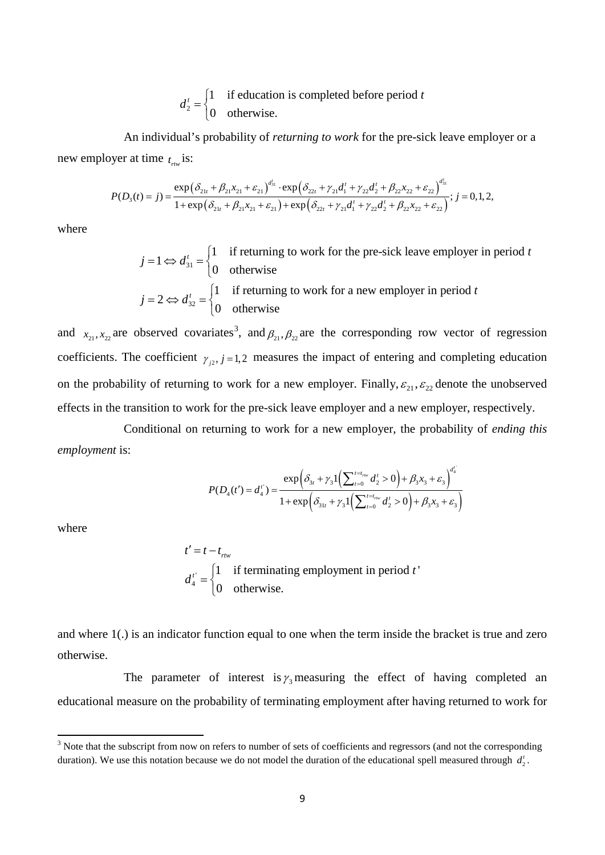2 1 if education is completed before period 0 otherwise.  $d_2^t = \begin{cases} 1 & \text{if education is completed before period } t \\ 0 & \text{otherwise.} \end{cases}$  $\overline{\mathcal{L}}$ 

An individual's probability of *returning to work* for the pre-sick leave employer or a new employer at time  $t_{rw}$  is:

$$
P(D_3(t) = j) = \frac{\exp(\delta_{21t} + \beta_{21}x_{21} + \varepsilon_{21})^{d'_{31}} \cdot \exp(\delta_{22t} + \gamma_{21}d'_1 + \gamma_{22}d'_2 + \beta_{22}x_{22} + \varepsilon_{22})^{d'_{31}}}{1 + \exp(\delta_{21t} + \beta_{21}x_{21} + \varepsilon_{21}) + \exp(\delta_{22t} + \gamma_{21}d'_1 + \gamma_{22}d'_2 + \beta_{22}x_{22} + \varepsilon_{22})}; j = 0, 1, 2,
$$

where

$$
j = 1 \Leftrightarrow d'_{31} = \begin{cases} 1 & \text{if returning to work for the pre-sick leave employer in period } t \\ 0 & \text{otherwise} \end{cases}
$$

$$
j = 2 \Leftrightarrow d'_{32} = \begin{cases} 1 & \text{if returning to work for a new employer in period } t \\ 0 & \text{otherwise} \end{cases}
$$

and  $x_{21}, x_{22}$  are observed covariates<sup>[3](#page-10-0)</sup>, and  $\beta_{21}, \beta_{22}$  are the corresponding row vector of regression coefficients. The coefficient  $\gamma_{i2}$ ,  $j = 1,2$  measures the impact of entering and completing education on the probability of returning to work for a new employer. Finally,  $\varepsilon_{21}$ ,  $\varepsilon_{22}$  denote the unobserved effects in the transition to work for the pre-sick leave employer and a new employer, respectively.

Conditional on returning to work for a new employer, the probability of *ending this employment* is:

$$
P(D_4(t') = d_4') = \frac{\exp\left(\delta_{3t} + \gamma_3 \mathbb{1}\left(\sum_{t=0}^{t=t_{\text{rav}}} d_2^t > 0\right) + \beta_3 x_3 + \varepsilon_3\right)^{d_4'}}{1 + \exp\left(\delta_{31t} + \gamma_3 \mathbb{1}\left(\sum_{t=0}^{t=t_{\text{rav}}} d_2^t > 0\right) + \beta_3 x_3 + \varepsilon_3\right)}
$$

where

<u>.</u>

$$
t' = t - t_{\text{true}}
$$
  

$$
d_4^{t'} = \begin{cases} 1 & \text{if terminating employment in period } t \\ 0 & \text{otherwise.} \end{cases}
$$

and where 1(.) is an indicator function equal to one when the term inside the bracket is true and zero otherwise.

The parameter of interest is  $\gamma_3$  measuring the effect of having completed an educational measure on the probability of terminating employment after having returned to work for

<span id="page-10-0"></span><sup>&</sup>lt;sup>3</sup> Note that the subscript from now on refers to number of sets of coefficients and regressors (and not the corresponding duration). We use this notation because we do not model the duration of the educational spell measured through  $d_2'$ .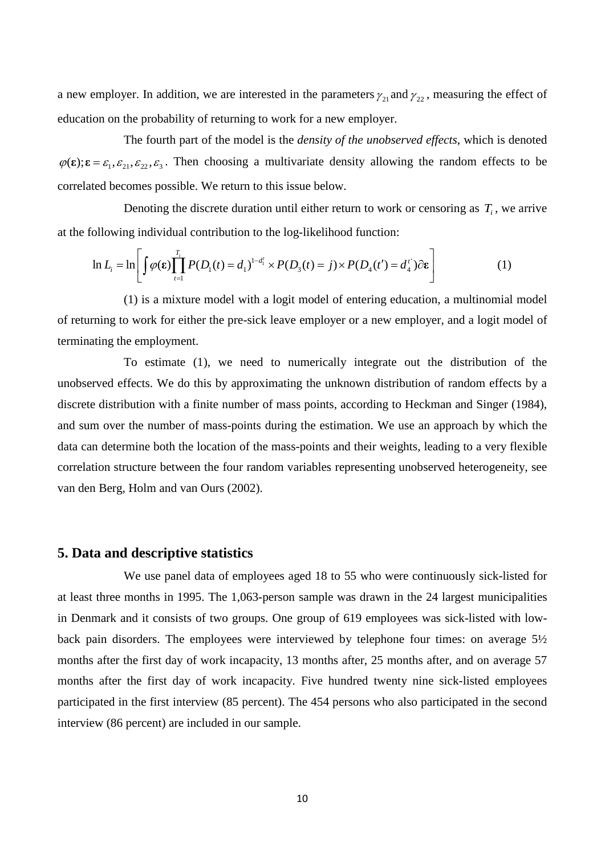a new employer. In addition, we are interested in the parameters  $\gamma_{21}$  and  $\gamma_{22}$ , measuring the effect of education on the probability of returning to work for a new employer.

The fourth part of the model is the *density of the unobserved effects*, which is denoted  $\varphi(\varepsilon); \varepsilon = \varepsilon_1, \varepsilon_2, \varepsilon_3$ . Then choosing a multivariate density allowing the random effects to be correlated becomes possible. We return to this issue below.

Denoting the discrete duration until either return to work or censoring as  $T_i$ , we arrive at the following individual contribution to the log-likelihood function:

$$
\ln L_i = \ln \left[ \int \varphi(\varepsilon) \prod_{t=1}^{T_i} P(D_1(t) = d_1)^{1-d_1'} \times P(D_3(t) = j) \times P(D_4(t') = d_4') \partial \varepsilon \right]
$$
(1)

(1) is a mixture model with a logit model of entering education, a multinomial model of returning to work for either the pre-sick leave employer or a new employer, and a logit model of terminating the employment.

To estimate (1), we need to numerically integrate out the distribution of the unobserved effects. We do this by approximating the unknown distribution of random effects by a discrete distribution with a finite number of mass points, according to Heckman and Singer (1984), and sum over the number of mass-points during the estimation. We use an approach by which the data can determine both the location of the mass-points and their weights, leading to a very flexible correlation structure between the four random variables representing unobserved heterogeneity, see van den Berg, Holm and van Ours (2002).

#### **5. Data and descriptive statistics**

We use panel data of employees aged 18 to 55 who were continuously sick-listed for at least three months in 1995. The 1,063-person sample was drawn in the 24 largest municipalities in Denmark and it consists of two groups. One group of 619 employees was sick-listed with lowback pain disorders. The employees were interviewed by telephone four times: on average 5½ months after the first day of work incapacity, 13 months after, 25 months after, and on average 57 months after the first day of work incapacity. Five hundred twenty nine sick-listed employees participated in the first interview (85 percent). The 454 persons who also participated in the second interview (86 percent) are included in our sample.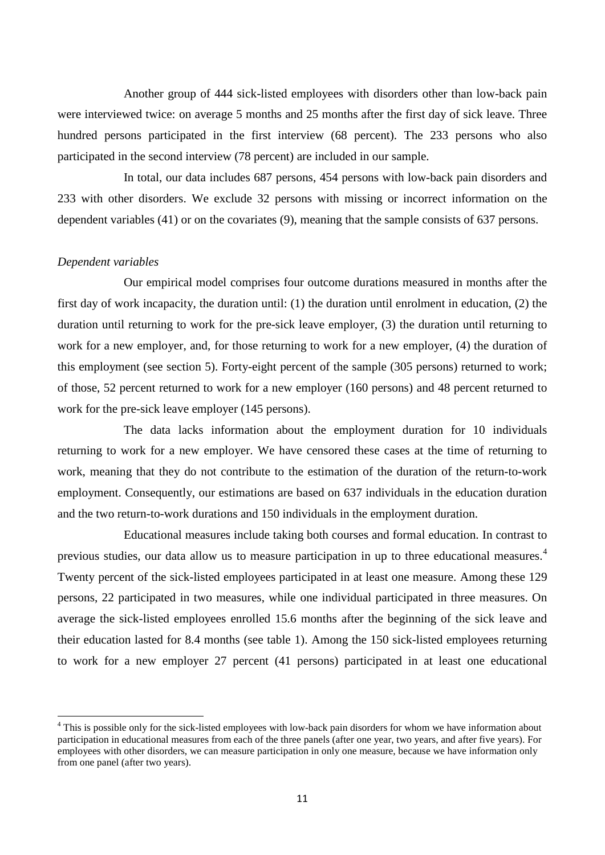Another group of 444 sick-listed employees with disorders other than low-back pain were interviewed twice: on average 5 months and 25 months after the first day of sick leave. Three hundred persons participated in the first interview (68 percent). The 233 persons who also participated in the second interview (78 percent) are included in our sample.

In total, our data includes 687 persons, 454 persons with low-back pain disorders and 233 with other disorders. We exclude 32 persons with missing or incorrect information on the dependent variables (41) or on the covariates (9), meaning that the sample consists of 637 persons.

#### *Dependent variables*

<u>.</u>

Our empirical model comprises four outcome durations measured in months after the first day of work incapacity, the duration until: (1) the duration until enrolment in education, (2) the duration until returning to work for the pre-sick leave employer, (3) the duration until returning to work for a new employer, and, for those returning to work for a new employer, (4) the duration of this employment (see section 5). Forty-eight percent of the sample (305 persons) returned to work; of those, 52 percent returned to work for a new employer (160 persons) and 48 percent returned to work for the pre-sick leave employer (145 persons).

The data lacks information about the employment duration for 10 individuals returning to work for a new employer. We have censored these cases at the time of returning to work, meaning that they do not contribute to the estimation of the duration of the return-to-work employment. Consequently, our estimations are based on 637 individuals in the education duration and the two return-to-work durations and 150 individuals in the employment duration.

Educational measures include taking both courses and formal education. In contrast to previous studies, our data allow us to measure participation in up to three educational measures.[4](#page-12-0) Twenty percent of the sick-listed employees participated in at least one measure. Among these 129 persons, 22 participated in two measures, while one individual participated in three measures. On average the sick-listed employees enrolled 15.6 months after the beginning of the sick leave and their education lasted for 8.4 months (see table 1). Among the 150 sick-listed employees returning to work for a new employer 27 percent (41 persons) participated in at least one educational

<span id="page-12-0"></span><sup>&</sup>lt;sup>4</sup> This is possible only for the sick-listed employees with low-back pain disorders for whom we have information about participation in educational measures from each of the three panels (after one year, two years, and after five years). For employees with other disorders, we can measure participation in only one measure, because we have information only from one panel (after two years).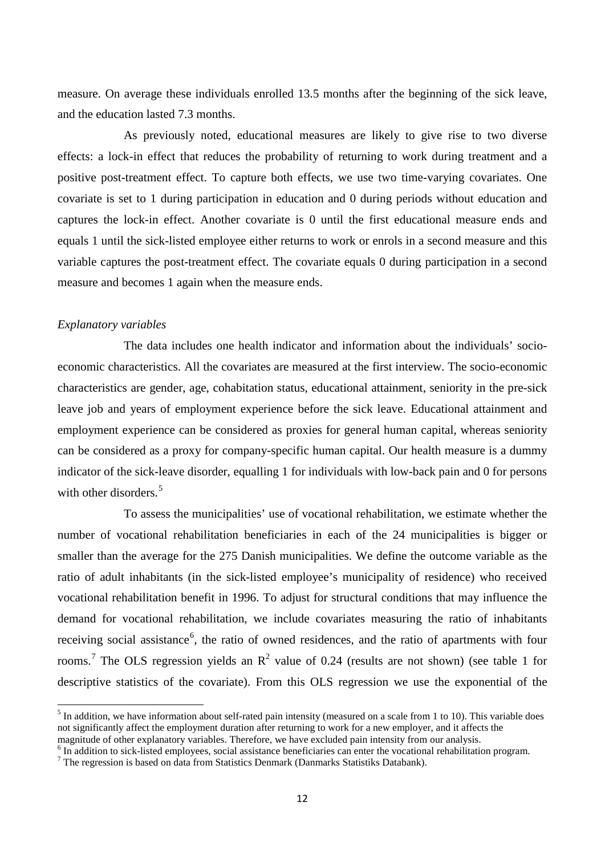measure. On average these individuals enrolled 13.5 months after the beginning of the sick leave, and the education lasted 7.3 months.

As previously noted, educational measures are likely to give rise to two diverse effects: a lock-in effect that reduces the probability of returning to work during treatment and a positive post-treatment effect. To capture both effects, we use two time-varying covariates. One covariate is set to 1 during participation in education and 0 during periods without education and captures the lock-in effect. Another covariate is 0 until the first educational measure ends and equals 1 until the sick-listed employee either returns to work or enrols in a second measure and this variable captures the post-treatment effect. The covariate equals 0 during participation in a second measure and becomes 1 again when the measure ends.

#### *Explanatory variables*

<u>.</u>

The data includes one health indicator and information about the individuals' socioeconomic characteristics. All the covariates are measured at the first interview. The socio-economic characteristics are gender, age, cohabitation status, educational attainment, seniority in the pre-sick leave job and years of employment experience before the sick leave. Educational attainment and employment experience can be considered as proxies for general human capital, whereas seniority can be considered as a proxy for company-specific human capital. Our health measure is a dummy indicator of the sick-leave disorder, equalling 1 for individuals with low-back pain and 0 for persons with other disorders. $5$ 

To assess the municipalities' use of vocational rehabilitation, we estimate whether the number of vocational rehabilitation beneficiaries in each of the 24 municipalities is bigger or smaller than the average for the 275 Danish municipalities. We define the outcome variable as the ratio of adult inhabitants (in the sick-listed employee's municipality of residence) who received vocational rehabilitation benefit in 1996. To adjust for structural conditions that may influence the demand for vocational rehabilitation, we include covariates measuring the ratio of inhabitants receiving social assistance<sup>[6](#page-13-1)</sup>, the ratio of owned residences, and the ratio of apartments with four rooms.<sup>[7](#page-13-2)</sup> The OLS regression yields an  $\mathbb{R}^2$  value of 0.24 (results are not shown) (see table 1 for descriptive statistics of the covariate). From this OLS regression we use the exponential of the

<span id="page-13-0"></span> $<sup>5</sup>$  In addition, we have information about self-rated pain intensity (measured on a scale from 1 to 10). This variable does</sup> not significantly affect the employment duration after returning to work for a new employer, and it affects the magnitude of other explanatory variables. Therefore, we have excluded pain intensity from our analysis.

<span id="page-13-1"></span> $\frac{6}{7}$  In addition to sick-listed employees, social assistance beneficiaries can enter the vocational rehabilitation program.  $\frac{7}{7}$  The regression is based on data from Statistics Denmark (Danmarks Statistiks Datab

<span id="page-13-2"></span>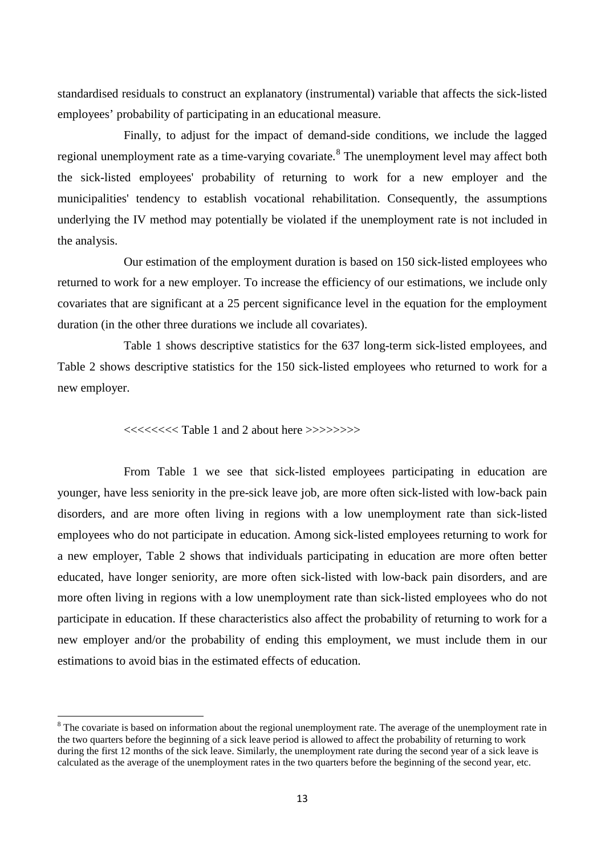standardised residuals to construct an explanatory (instrumental) variable that affects the sick-listed employees' probability of participating in an educational measure.

Finally, to adjust for the impact of demand-side conditions, we include the lagged regional unemployment rate as a time-varying covariate.<sup>[8](#page-14-0)</sup> The unemployment level may affect both the sick-listed employees' probability of returning to work for a new employer and the municipalities' tendency to establish vocational rehabilitation. Consequently, the assumptions underlying the IV method may potentially be violated if the unemployment rate is not included in the analysis.

Our estimation of the employment duration is based on 150 sick-listed employees who returned to work for a new employer. To increase the efficiency of our estimations, we include only covariates that are significant at a 25 percent significance level in the equation for the employment duration (in the other three durations we include all covariates).

Table 1 shows descriptive statistics for the 637 long-term sick-listed employees, and Table 2 shows descriptive statistics for the 150 sick-listed employees who returned to work for a new employer.

<<<<<<<< Table 1 and 2 about here >>>>>>>>

<u>.</u>

From Table 1 we see that sick-listed employees participating in education are younger, have less seniority in the pre-sick leave job, are more often sick-listed with low-back pain disorders, and are more often living in regions with a low unemployment rate than sick-listed employees who do not participate in education. Among sick-listed employees returning to work for a new employer, Table 2 shows that individuals participating in education are more often better educated, have longer seniority, are more often sick-listed with low-back pain disorders, and are more often living in regions with a low unemployment rate than sick-listed employees who do not participate in education. If these characteristics also affect the probability of returning to work for a new employer and/or the probability of ending this employment, we must include them in our estimations to avoid bias in the estimated effects of education.

<span id="page-14-0"></span><sup>&</sup>lt;sup>8</sup> The covariate is based on information about the regional unemployment rate. The average of the unemployment rate in the two quarters before the beginning of a sick leave period is allowed to affect the probability of returning to work during the first 12 months of the sick leave. Similarly, the unemployment rate during the second year of a sick leave is calculated as the average of the unemployment rates in the two quarters before the beginning of the second year, etc.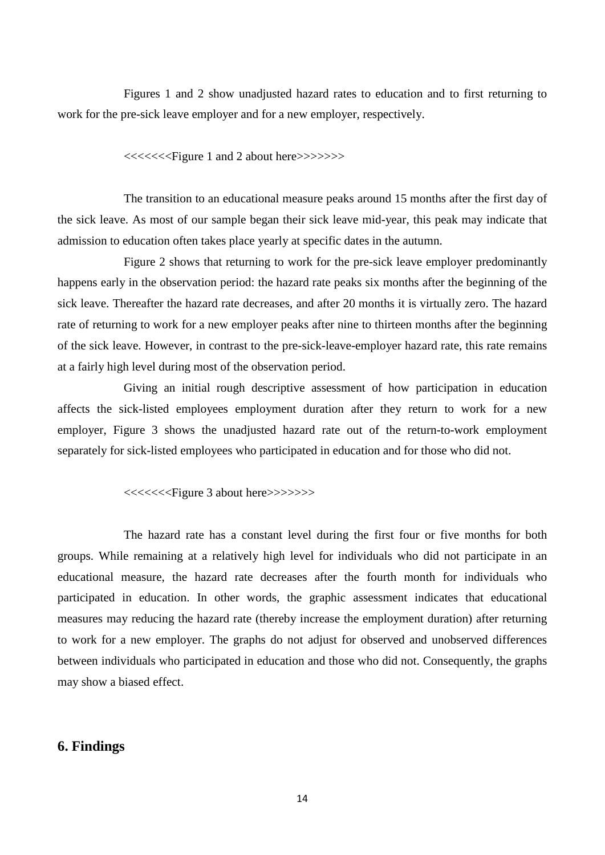Figures 1 and 2 show unadjusted hazard rates to education and to first returning to work for the pre-sick leave employer and for a new employer, respectively.

<<<<<<<Figure 1 and 2 about here>>>>>>>

The transition to an educational measure peaks around 15 months after the first day of the sick leave. As most of our sample began their sick leave mid-year, this peak may indicate that admission to education often takes place yearly at specific dates in the autumn.

Figure 2 shows that returning to work for the pre-sick leave employer predominantly happens early in the observation period: the hazard rate peaks six months after the beginning of the sick leave. Thereafter the hazard rate decreases, and after 20 months it is virtually zero. The hazard rate of returning to work for a new employer peaks after nine to thirteen months after the beginning of the sick leave. However, in contrast to the pre-sick-leave-employer hazard rate, this rate remains at a fairly high level during most of the observation period.

Giving an initial rough descriptive assessment of how participation in education affects the sick-listed employees employment duration after they return to work for a new employer, Figure 3 shows the unadjusted hazard rate out of the return-to-work employment separately for sick-listed employees who participated in education and for those who did not.

<<<<<<<Figure 3 about here>>>>>>>

The hazard rate has a constant level during the first four or five months for both groups. While remaining at a relatively high level for individuals who did not participate in an educational measure, the hazard rate decreases after the fourth month for individuals who participated in education. In other words, the graphic assessment indicates that educational measures may reducing the hazard rate (thereby increase the employment duration) after returning to work for a new employer. The graphs do not adjust for observed and unobserved differences between individuals who participated in education and those who did not. Consequently, the graphs may show a biased effect.

#### **6. Findings**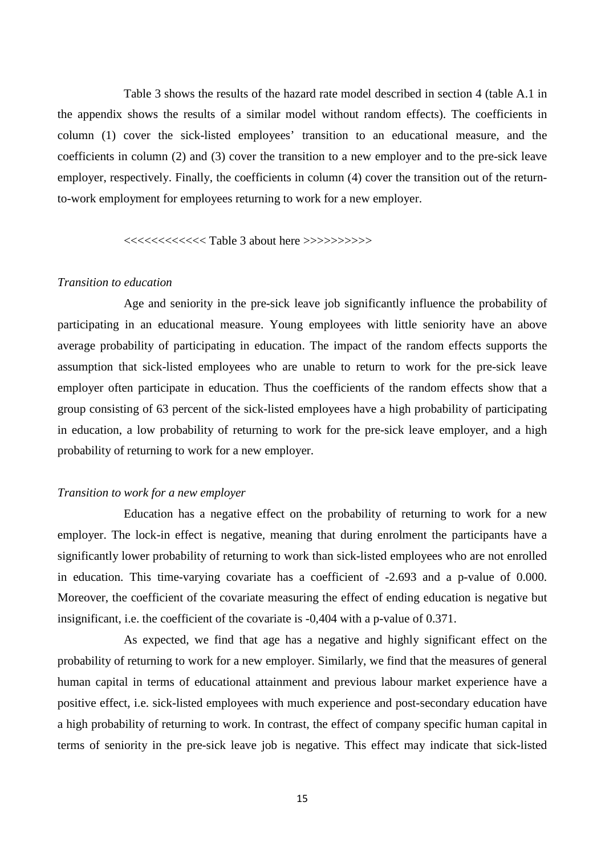Table 3 shows the results of the hazard rate model described in section 4 (table A.1 in the appendix shows the results of a similar model without random effects). The coefficients in column (1) cover the sick-listed employees' transition to an educational measure, and the coefficients in column (2) and (3) cover the transition to a new employer and to the pre-sick leave employer, respectively. Finally, the coefficients in column (4) cover the transition out of the returnto-work employment for employees returning to work for a new employer.

#### <<<<<<<<<<<< Table 3 about here >>>>>>>>>>

#### *Transition to education*

Age and seniority in the pre-sick leave job significantly influence the probability of participating in an educational measure. Young employees with little seniority have an above average probability of participating in education. The impact of the random effects supports the assumption that sick-listed employees who are unable to return to work for the pre-sick leave employer often participate in education. Thus the coefficients of the random effects show that a group consisting of 63 percent of the sick-listed employees have a high probability of participating in education, a low probability of returning to work for the pre-sick leave employer, and a high probability of returning to work for a new employer.

#### *Transition to work for a new employer*

Education has a negative effect on the probability of returning to work for a new employer. The lock-in effect is negative, meaning that during enrolment the participants have a significantly lower probability of returning to work than sick-listed employees who are not enrolled in education. This time-varying covariate has a coefficient of -2.693 and a p-value of 0.000. Moreover, the coefficient of the covariate measuring the effect of ending education is negative but insignificant, i.e. the coefficient of the covariate is -0,404 with a p-value of 0.371.

As expected, we find that age has a negative and highly significant effect on the probability of returning to work for a new employer. Similarly, we find that the measures of general human capital in terms of educational attainment and previous labour market experience have a positive effect, i.e. sick-listed employees with much experience and post-secondary education have a high probability of returning to work. In contrast, the effect of company specific human capital in terms of seniority in the pre-sick leave job is negative. This effect may indicate that sick-listed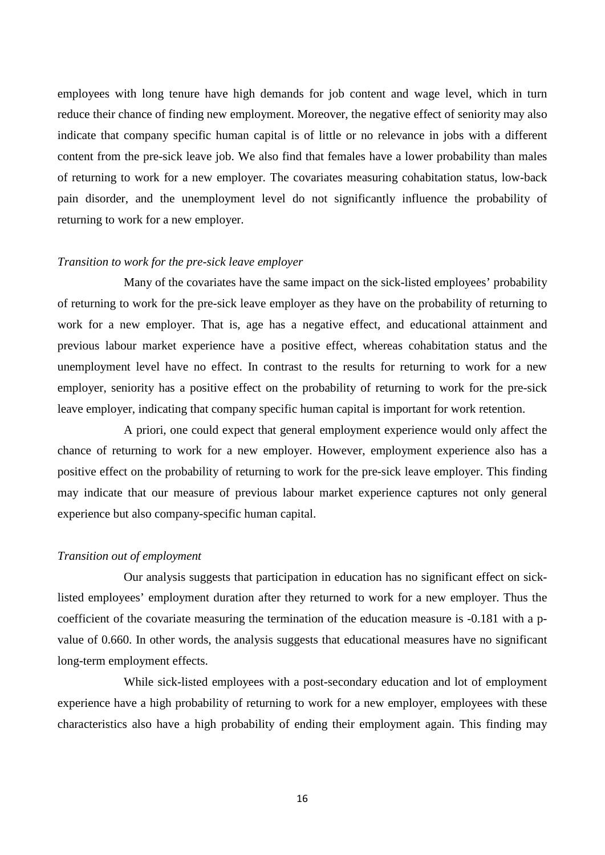employees with long tenure have high demands for job content and wage level, which in turn reduce their chance of finding new employment. Moreover, the negative effect of seniority may also indicate that company specific human capital is of little or no relevance in jobs with a different content from the pre-sick leave job. We also find that females have a lower probability than males of returning to work for a new employer. The covariates measuring cohabitation status, low-back pain disorder, and the unemployment level do not significantly influence the probability of returning to work for a new employer.

#### *Transition to work for the pre-sick leave employer*

Many of the covariates have the same impact on the sick-listed employees' probability of returning to work for the pre-sick leave employer as they have on the probability of returning to work for a new employer. That is, age has a negative effect, and educational attainment and previous labour market experience have a positive effect, whereas cohabitation status and the unemployment level have no effect. In contrast to the results for returning to work for a new employer, seniority has a positive effect on the probability of returning to work for the pre-sick leave employer, indicating that company specific human capital is important for work retention.

A priori, one could expect that general employment experience would only affect the chance of returning to work for a new employer. However, employment experience also has a positive effect on the probability of returning to work for the pre-sick leave employer. This finding may indicate that our measure of previous labour market experience captures not only general experience but also company-specific human capital.

#### *Transition out of employment*

Our analysis suggests that participation in education has no significant effect on sicklisted employees' employment duration after they returned to work for a new employer. Thus the coefficient of the covariate measuring the termination of the education measure is -0.181 with a pvalue of 0.660. In other words, the analysis suggests that educational measures have no significant long-term employment effects.

While sick-listed employees with a post-secondary education and lot of employment experience have a high probability of returning to work for a new employer, employees with these characteristics also have a high probability of ending their employment again. This finding may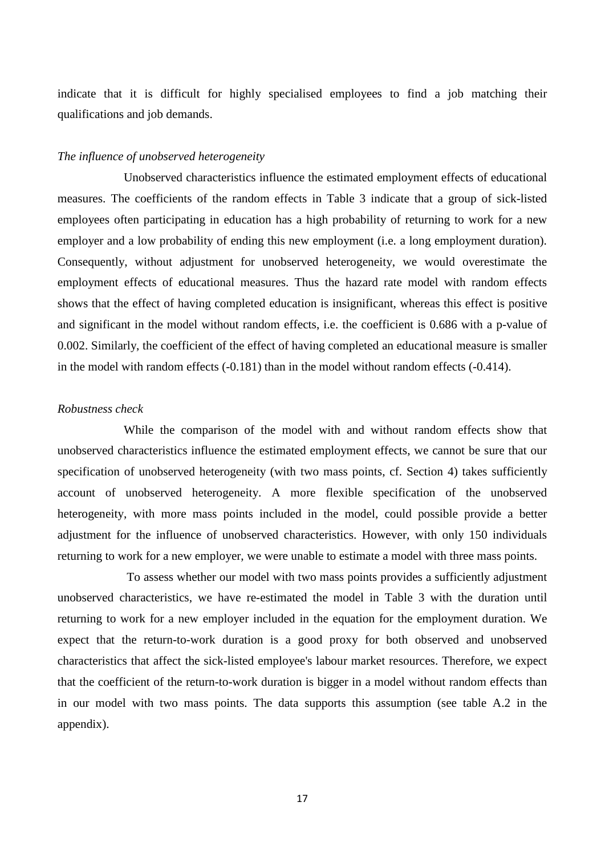indicate that it is difficult for highly specialised employees to find a job matching their qualifications and job demands.

#### *The influence of unobserved heterogeneity*

Unobserved characteristics influence the estimated employment effects of educational measures. The coefficients of the random effects in Table 3 indicate that a group of sick-listed employees often participating in education has a high probability of returning to work for a new employer and a low probability of ending this new employment (i.e. a long employment duration). Consequently, without adjustment for unobserved heterogeneity, we would overestimate the employment effects of educational measures. Thus the hazard rate model with random effects shows that the effect of having completed education is insignificant, whereas this effect is positive and significant in the model without random effects, i.e. the coefficient is 0.686 with a p-value of 0.002. Similarly, the coefficient of the effect of having completed an educational measure is smaller in the model with random effects (-0.181) than in the model without random effects (-0.414).

#### *Robustness check*

While the comparison of the model with and without random effects show that unobserved characteristics influence the estimated employment effects, we cannot be sure that our specification of unobserved heterogeneity (with two mass points, cf. Section 4) takes sufficiently account of unobserved heterogeneity. A more flexible specification of the unobserved heterogeneity, with more mass points included in the model, could possible provide a better adjustment for the influence of unobserved characteristics. However, with only 150 individuals returning to work for a new employer, we were unable to estimate a model with three mass points.

To assess whether our model with two mass points provides a sufficiently adjustment unobserved characteristics, we have re-estimated the model in Table 3 with the duration until returning to work for a new employer included in the equation for the employment duration. We expect that the return-to-work duration is a good proxy for both observed and unobserved characteristics that affect the sick-listed employee's labour market resources. Therefore, we expect that the coefficient of the return-to-work duration is bigger in a model without random effects than in our model with two mass points. The data supports this assumption (see table A.2 in the appendix).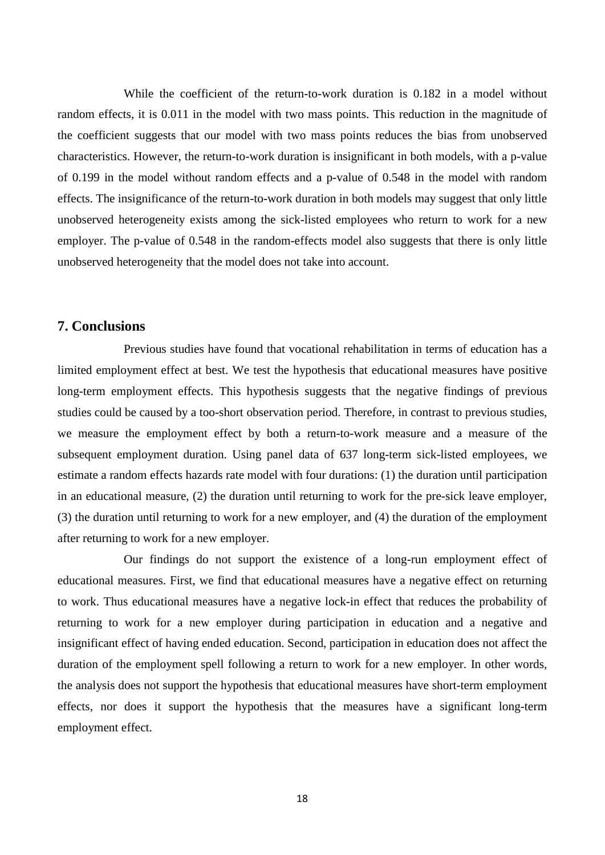While the coefficient of the return-to-work duration is 0.182 in a model without random effects, it is 0.011 in the model with two mass points. This reduction in the magnitude of the coefficient suggests that our model with two mass points reduces the bias from unobserved characteristics. However, the return-to-work duration is insignificant in both models, with a p-value of 0.199 in the model without random effects and a p-value of 0.548 in the model with random effects. The insignificance of the return-to-work duration in both models may suggest that only little unobserved heterogeneity exists among the sick-listed employees who return to work for a new employer. The p-value of 0.548 in the random-effects model also suggests that there is only little unobserved heterogeneity that the model does not take into account.

#### **7. Conclusions**

Previous studies have found that vocational rehabilitation in terms of education has a limited employment effect at best. We test the hypothesis that educational measures have positive long-term employment effects. This hypothesis suggests that the negative findings of previous studies could be caused by a too-short observation period. Therefore, in contrast to previous studies, we measure the employment effect by both a return-to-work measure and a measure of the subsequent employment duration. Using panel data of 637 long-term sick-listed employees, we estimate a random effects hazards rate model with four durations: (1) the duration until participation in an educational measure, (2) the duration until returning to work for the pre-sick leave employer, (3) the duration until returning to work for a new employer, and (4) the duration of the employment after returning to work for a new employer.

Our findings do not support the existence of a long-run employment effect of educational measures. First, we find that educational measures have a negative effect on returning to work. Thus educational measures have a negative lock-in effect that reduces the probability of returning to work for a new employer during participation in education and a negative and insignificant effect of having ended education. Second, participation in education does not affect the duration of the employment spell following a return to work for a new employer. In other words, the analysis does not support the hypothesis that educational measures have short-term employment effects, nor does it support the hypothesis that the measures have a significant long-term employment effect.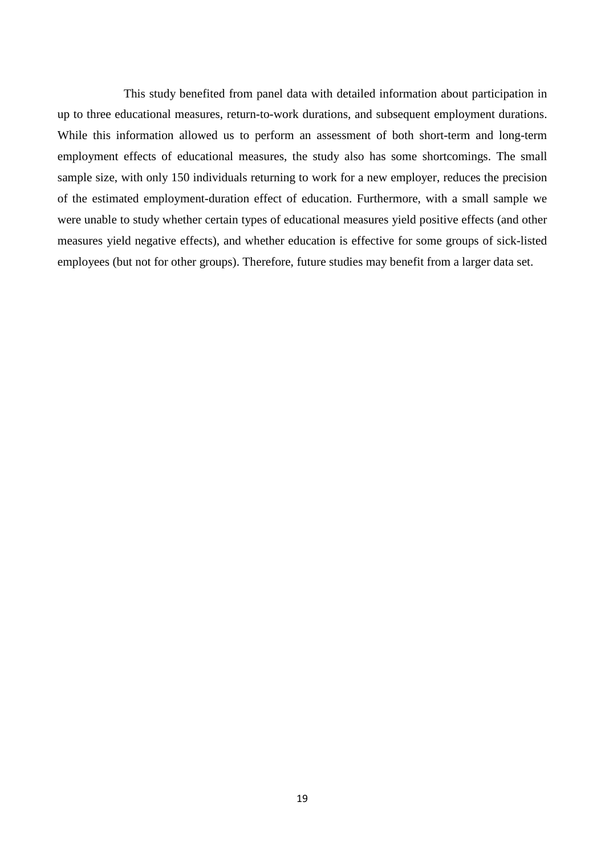This study benefited from panel data with detailed information about participation in up to three educational measures, return-to-work durations, and subsequent employment durations. While this information allowed us to perform an assessment of both short-term and long-term employment effects of educational measures, the study also has some shortcomings. The small sample size, with only 150 individuals returning to work for a new employer, reduces the precision of the estimated employment-duration effect of education. Furthermore, with a small sample we were unable to study whether certain types of educational measures yield positive effects (and other measures yield negative effects), and whether education is effective for some groups of sick-listed employees (but not for other groups). Therefore, future studies may benefit from a larger data set.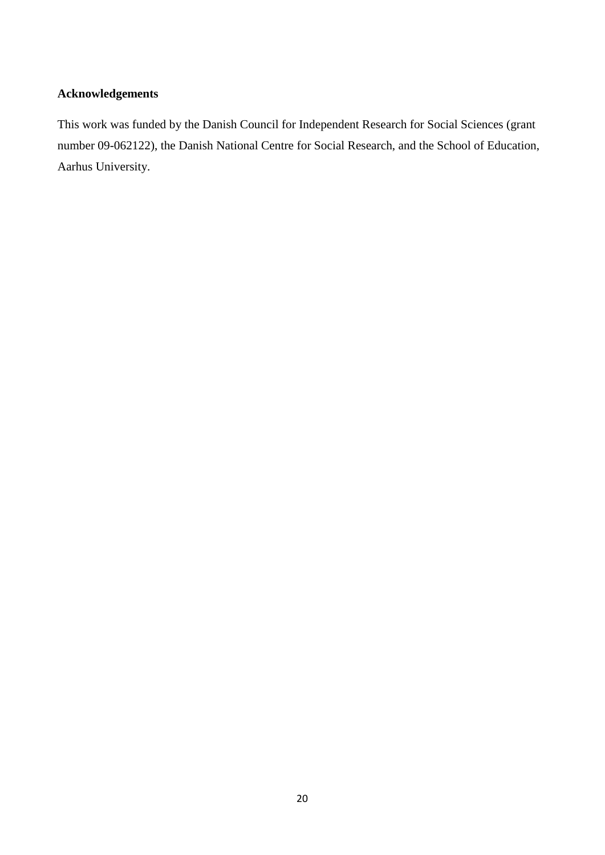#### **Acknowledgements**

This work was funded by the Danish Council for Independent Research for Social Sciences (grant number 09-062122), the Danish National Centre for Social Research, and the School of Education, Aarhus University.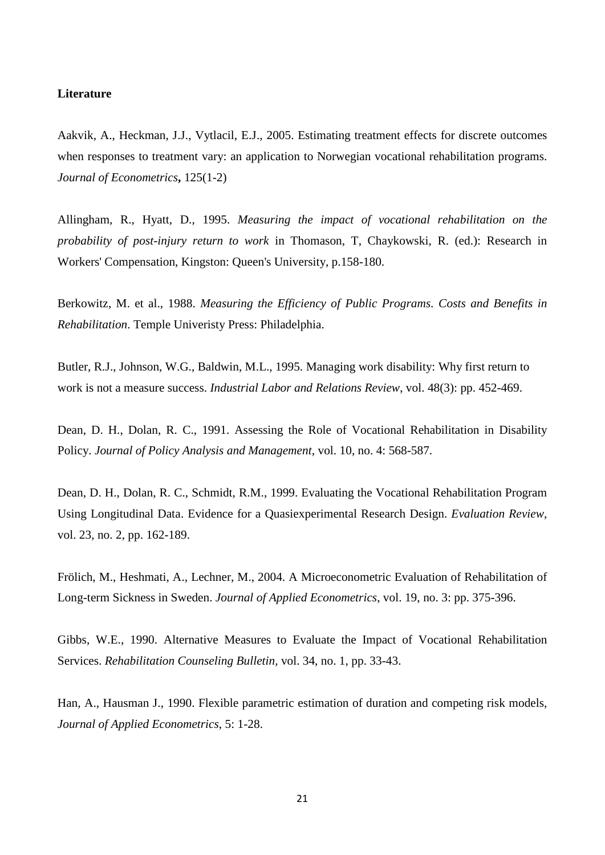#### **Literature**

Aakvik, A., Heckman, J.J., Vytlacil, E.J., 2005. Estimating treatment effects for discrete outcomes when responses to treatment vary: an application to Norwegian vocational rehabilitation programs. *Journal of Econometrics***,** 125(1-2)

Allingham, R., Hyatt, D., 1995. *Measuring the impact of vocational rehabilitation on the probability of post-injury return to work* in Thomason, T, Chaykowski, R. (ed.): Research in Workers' Compensation, Kingston: Queen's University, p.158-180.

Berkowitz, M. et al., 1988. *Measuring the Efficiency of Public Programs. Costs and Benefits in Rehabilitation*. Temple Univeristy Press: Philadelphia.

Butler, R.J., Johnson, W.G., Baldwin, M.L., 1995. Managing work disability: Why first return to work is not a measure success. *Industrial Labor and Relations Review*, vol. 48(3): pp. 452-469.

Dean, D. H., Dolan, R. C., 1991. Assessing the Role of Vocational Rehabilitation in Disability Policy. *Journal of Policy Analysis and Management*, vol. 10, no. 4: 568-587.

Dean, D. H., Dolan, R. C., Schmidt, R.M., 1999. Evaluating the Vocational Rehabilitation Program Using Longitudinal Data. Evidence for a Quasiexperimental Research Design. *Evaluation Review*, vol. 23, no. 2, pp. 162-189.

Frölich, M., Heshmati, A., Lechner, M., 2004. A Microeconometric Evaluation of Rehabilitation of Long-term Sickness in Sweden. *Journal of Applied Econometrics*, vol. 19, no. 3: pp. 375-396.

Gibbs, W.E., 1990. Alternative Measures to Evaluate the Impact of Vocational Rehabilitation Services. *Rehabilitation Counseling Bulletin,* vol. 34, no. 1, pp. 33-43.

Han, A., Hausman J., 1990. Flexible parametric estimation of duration and competing risk models, *Journal of Applied Econometrics*, 5: 1-28.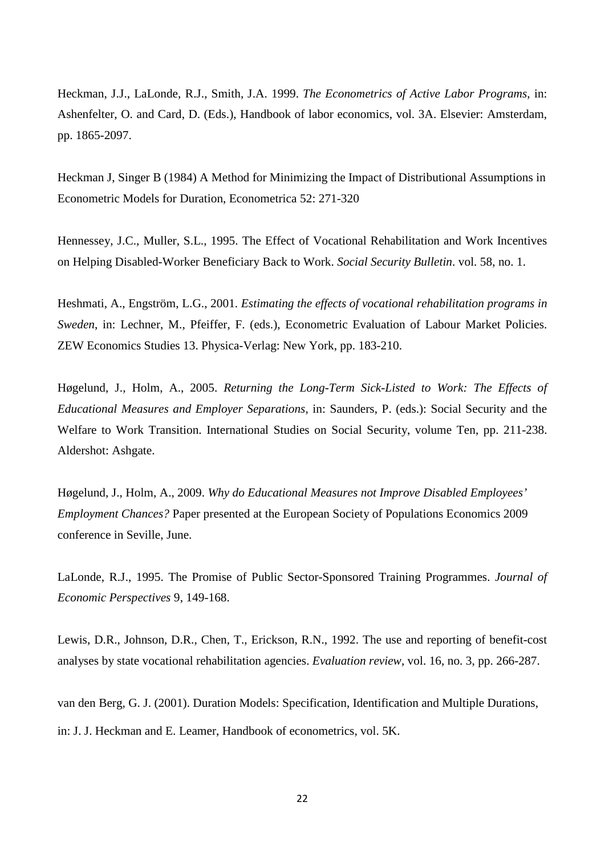Heckman, J.J., LaLonde, R.J., Smith, J.A. 1999. *The Econometrics of Active Labor Programs*, in: Ashenfelter, O. and Card, D. (Eds.), Handbook of labor economics, vol. 3A. Elsevier: Amsterdam, pp. 1865-2097.

Heckman J, Singer B (1984) A Method for Minimizing the Impact of Distributional Assumptions in Econometric Models for Duration, Econometrica 52: 271-320

Hennessey, J.C., Muller, S.L., 1995. The Effect of Vocational Rehabilitation and Work Incentives on Helping Disabled-Worker Beneficiary Back to Work. *Social Security Bulletin*. vol. 58, no. 1.

Heshmati, A., Engström, L.G., 2001. *Estimating the effects of vocational rehabilitation programs in Sweden*, in: Lechner, M., Pfeiffer, F. (eds.), Econometric Evaluation of Labour Market Policies. ZEW Economics Studies 13. Physica-Verlag: New York, pp. 183-210.

Høgelund, J., Holm, A., 2005. *Returning the Long-Term Sick-Listed to Work: The Effects of Educational Measures and Employer Separations*, in: Saunders, P. (eds.): Social Security and the Welfare to Work Transition. International Studies on Social Security, volume Ten, pp. 211-238. Aldershot: Ashgate.

Høgelund, J., Holm, A., 2009. *Why do Educational Measures not Improve Disabled Employees' Employment Chances?* Paper presented at the European Society of Populations Economics 2009 conference in Seville, June.

LaLonde, R.J., 1995. The Promise of Public Sector-Sponsored Training Programmes. *Journal of Economic Perspectives* 9, 149-168.

Lewis, D.R., Johnson, D.R., Chen, T., Erickson, R.N., 1992. The use and reporting of benefit-cost analyses by state vocational rehabilitation agencies. *Evaluation review*, vol. 16, no. 3, pp. 266-287.

van den Berg, G. J. (2001). Duration Models: Specification, Identification and Multiple Durations, in: J. J. Heckman and E. Leamer, Handbook of econometrics, vol. 5K.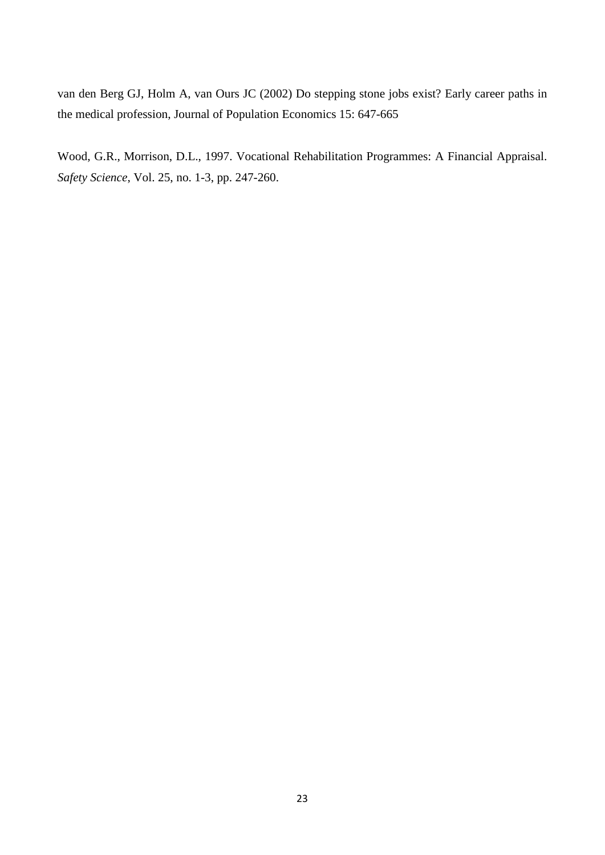van den Berg GJ, Holm A, van Ours JC (2002) Do stepping stone jobs exist? Early career paths in the medical profession, Journal of Population Economics 15: 647-665

Wood, G.R., Morrison, D.L., 1997. Vocational Rehabilitation Programmes: A Financial Appraisal. *Safety Science*, Vol. 25, no. 1-3, pp. 247-260.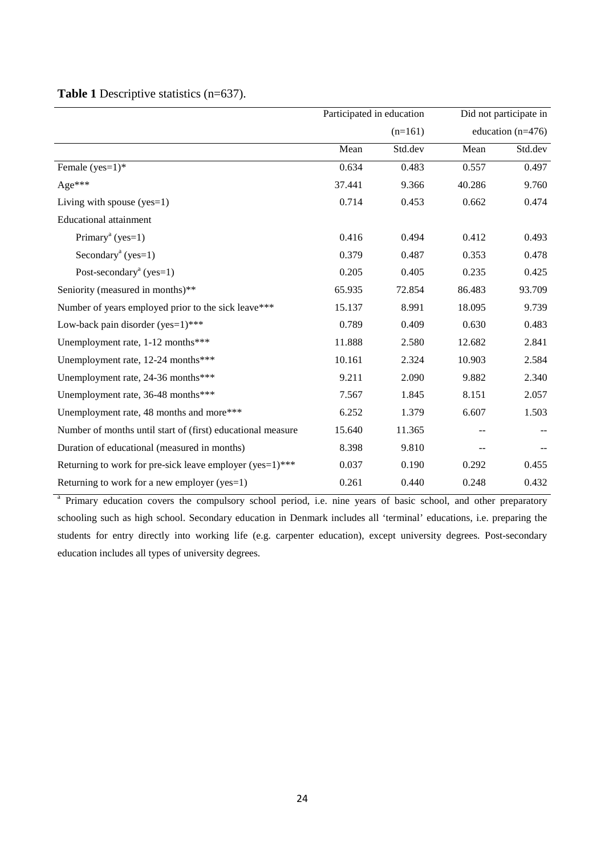|                                                              | Participated in education<br>$(n=161)$ |         | Did not participate in |         |  |
|--------------------------------------------------------------|----------------------------------------|---------|------------------------|---------|--|
|                                                              |                                        |         | education $(n=476)$    |         |  |
|                                                              | Mean                                   | Std.dev | Mean                   | Std.dev |  |
| Female $(yes=1)$ *                                           | 0.634                                  | 0.483   | 0.557                  | 0.497   |  |
| Age***                                                       | 37.441                                 | 9.366   | 40.286                 | 9.760   |  |
| Living with spouse $(yes=1)$                                 | 0.714                                  | 0.453   | 0.662                  | 0.474   |  |
| <b>Educational attainment</b>                                |                                        |         |                        |         |  |
| Primary <sup>a</sup> (yes=1)                                 | 0.416                                  | 0.494   | 0.412                  | 0.493   |  |
| Secondary <sup>a</sup> (yes=1)                               | 0.379                                  | 0.487   | 0.353                  | 0.478   |  |
| Post-secondary <sup>a</sup> (yes=1)                          | 0.205                                  | 0.405   | 0.235                  | 0.425   |  |
| Seniority (measured in months)**                             | 65.935                                 | 72.854  | 86.483                 | 93.709  |  |
| Number of years employed prior to the sick leave***          | 15.137                                 | 8.991   | 18.095                 | 9.739   |  |
| Low-back pain disorder (yes=1)***                            | 0.789                                  | 0.409   | 0.630                  | 0.483   |  |
| Unemployment rate, 1-12 months***                            | 11.888                                 | 2.580   | 12.682                 | 2.841   |  |
| Unemployment rate, 12-24 months***                           | 10.161                                 | 2.324   | 10.903                 | 2.584   |  |
| Unemployment rate, 24-36 months***                           | 9.211                                  | 2.090   | 9.882                  | 2.340   |  |
| Unemployment rate, 36-48 months***                           | 7.567                                  | 1.845   | 8.151                  | 2.057   |  |
| Unemployment rate, 48 months and more***                     | 6.252                                  | 1.379   | 6.607                  | 1.503   |  |
| Number of months until start of (first) educational measure  | 15.640                                 | 11.365  |                        |         |  |
| Duration of educational (measured in months)                 | 8.398                                  | 9.810   | $-$                    |         |  |
| Returning to work for pre-sick leave employer (yes= $1$ )*** | 0.037                                  | 0.190   | 0.292                  | 0.455   |  |
| Returning to work for a new employer (yes=1)                 | 0.261                                  | 0.440   | 0.248                  | 0.432   |  |

#### **Table 1** Descriptive statistics (n=637).

<sup>a</sup> Primary education covers the compulsory school period, i.e. nine years of basic school, and other preparatory schooling such as high school. Secondary education in Denmark includes all 'terminal' educations, i.e. preparing the students for entry directly into working life (e.g. carpenter education), except university degrees. Post-secondary education includes all types of university degrees.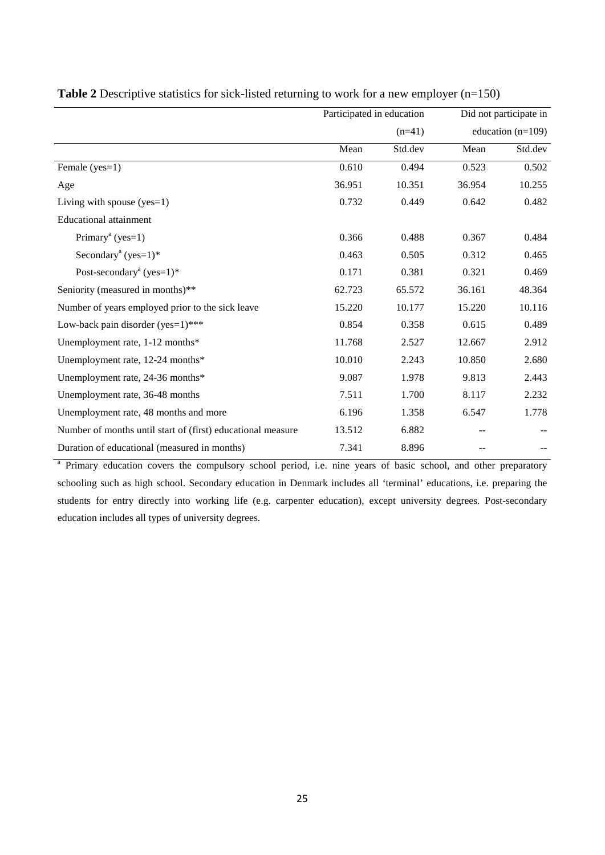|                                                             | Participated in education |         | Did not participate in |                     |  |
|-------------------------------------------------------------|---------------------------|---------|------------------------|---------------------|--|
|                                                             | $(n=41)$                  |         |                        | education $(n=109)$ |  |
|                                                             | Mean                      | Std.dev | Mean                   | Std.dev             |  |
| Female (yes=1)                                              | 0.610                     | 0.494   | 0.523                  | 0.502               |  |
| Age                                                         | 36.951                    | 10.351  | 36.954                 | 10.255              |  |
| Living with spouse $(yes=1)$                                | 0.732                     | 0.449   | 0.642                  | 0.482               |  |
| <b>Educational attainment</b>                               |                           |         |                        |                     |  |
| Primary <sup>a</sup> (yes=1)                                | 0.366                     | 0.488   | 0.367                  | 0.484               |  |
| Secondary <sup>a</sup> (yes= $1$ )*                         | 0.463                     | 0.505   | 0.312                  | 0.465               |  |
| Post-secondary <sup>a</sup> (yes= $1$ )*                    | 0.171                     | 0.381   | 0.321                  | 0.469               |  |
| Seniority (measured in months)**                            | 62.723                    | 65.572  | 36.161                 | 48.364              |  |
| Number of years employed prior to the sick leave            | 15.220                    | 10.177  | 15.220                 | 10.116              |  |
| Low-back pain disorder (yes=1)***                           | 0.854                     | 0.358   | 0.615                  | 0.489               |  |
| Unemployment rate, 1-12 months*                             | 11.768                    | 2.527   | 12.667                 | 2.912               |  |
| Unemployment rate, 12-24 months*                            | 10.010                    | 2.243   | 10.850                 | 2.680               |  |
| Unemployment rate, 24-36 months*                            | 9.087                     | 1.978   | 9.813                  | 2.443               |  |
| Unemployment rate, 36-48 months                             | 7.511                     | 1.700   | 8.117                  | 2.232               |  |
| Unemployment rate, 48 months and more                       | 6.196                     | 1.358   | 6.547                  | 1.778               |  |
| Number of months until start of (first) educational measure | 13.512                    | 6.882   | --                     |                     |  |
| Duration of educational (measured in months)                | 7.341                     | 8.896   |                        |                     |  |

| <b>Table 2</b> Descriptive statistics for sick-listed returning to work for a new employer $(n=150)$ |  |
|------------------------------------------------------------------------------------------------------|--|
|                                                                                                      |  |

<sup>a</sup> Primary education covers the compulsory school period, i.e. nine years of basic school, and other preparatory schooling such as high school. Secondary education in Denmark includes all 'terminal' educations, i.e. preparing the students for entry directly into working life (e.g. carpenter education), except university degrees. Post-secondary education includes all types of university degrees.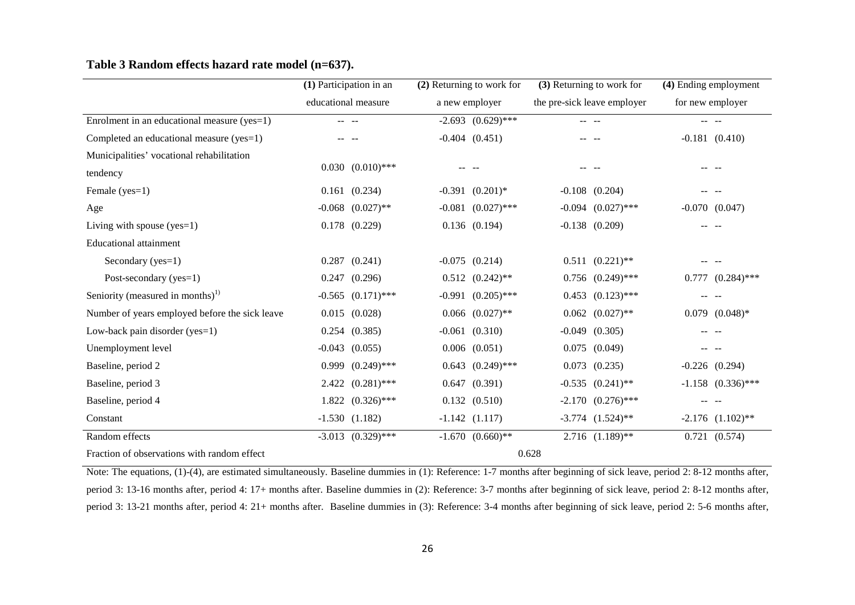|                                                | (1) Participation in an   | (2) Returning to work for       | (3) Returning to work for   | (4) Ending employment  |  |
|------------------------------------------------|---------------------------|---------------------------------|-----------------------------|------------------------|--|
|                                                | educational measure       | a new employer                  | the pre-sick leave employer | for new employer       |  |
| Enrolment in an educational measure (yes=1)    | -- --                     | $-2.693$ $(0.629)$ ***          |                             | -- --                  |  |
| Completed an educational measure (yes=1)       |                           | $-0.404$ $(0.451)$              |                             | $-0.181$ $(0.410)$     |  |
| Municipalities' vocational rehabilitation      |                           |                                 |                             |                        |  |
| tendency                                       | $0.030$ $(0.010)$ ***     |                                 |                             |                        |  |
| Female (yes=1)                                 | $0.161$ $(0.234)$         | $-0.391$ $(0.201)$ <sup>*</sup> | $-0.108$ $(0.204)$          |                        |  |
| Age                                            | $-0.068$ $(0.027)$ **     | $-0.081$ $(0.027)$ ***          | $-0.094$ $(0.027)$ ***      | $-0.070$ $(0.047)$     |  |
| Living with spouse $(yes=1)$                   | $0.178$ $(0.229)$         | $0.136$ $(0.194)$               | $-0.138$ $(0.209)$          |                        |  |
| <b>Educational attainment</b>                  |                           |                                 |                             |                        |  |
| Secondary (yes=1)                              | $0.287$ $(0.241)$         | $-0.075$ $(0.214)$              | $0.511 (0.221)$ **          |                        |  |
| Post-secondary (yes=1)                         | $0.247$ $(0.296)$         | $0.512$ $(0.242)$ **            | $0.756$ $(0.249)$ ***       | $0.777$ $(0.284)$ ***  |  |
| Seniority (measured in months) <sup>1)</sup>   | $-0.565$ $(0.171)$ ***    | $(0.205)$ ***<br>$-0.991$       | $0.453$ $(0.123)$ ***       |                        |  |
| Number of years employed before the sick leave | $0.015$ $(0.028)$         | $0.066$ $(0.027)$ **            | $0.062$ $(0.027)$ **        | $0.079$ $(0.048)*$     |  |
| Low-back pain disorder (yes=1)                 | $0.254$ $(0.385)$         | $-0.061$ $(0.310)$              | $-0.049$<br>(0.305)         |                        |  |
| Unemployment level                             | $-0.043$ $(0.055)$        | $0.006$ $(0.051)$               | $0.075$ $(0.049)$           |                        |  |
| Baseline, period 2                             | $0.999(0.249)$ ***        | 0.643<br>$(0.249)$ ***          | (0.235)<br>0.073            | $-0.226$ $(0.294)$     |  |
| Baseline, period 3                             | $(0.281)$ ***<br>2.422    | 0.647<br>(0.391)                | $-0.535$ $(0.241)$ **       | $-1.158$ $(0.336)$ *** |  |
| Baseline, period 4                             | $1.822 \quad (0.326)$ *** | $0.132$ $(0.510)$               | $-2.170$ $(0.276)$ ***      |                        |  |
| Constant                                       | $-1.530(1.182)$           | $-1.142$ $(1.117)$              | $-3.774$ $(1.524)$ **       | $-2.176$ $(1.102)$ **  |  |
| Random effects                                 | $-3.013$ $(0.329)$ ***    | $-1.670$ $(0.660)**$            | $2.716$ $(1.189)$ **        | $0.721$ $(0.574)$      |  |
| Fraction of observations with random effect    | 0.628                     |                                 |                             |                        |  |

#### **Table 3 Random effects hazard rate model (n=637).**

Note: The equations, (1)-(4), are estimated simultaneously. Baseline dummies in (1): Reference: 1-7 months after beginning of sick leave, period 2: 8-12 months after, period 3: 13-16 months after, period 4: 17+ months after. Baseline dummies in (2): Reference: 3-7 months after beginning of sick leave, period 2: 8-12 months after, period 3: 13-21 months after, period 4: 21+ months after. Baseline dummies in (3): Reference: 3-4 months after beginning of sick leave, period 2: 5-6 months after,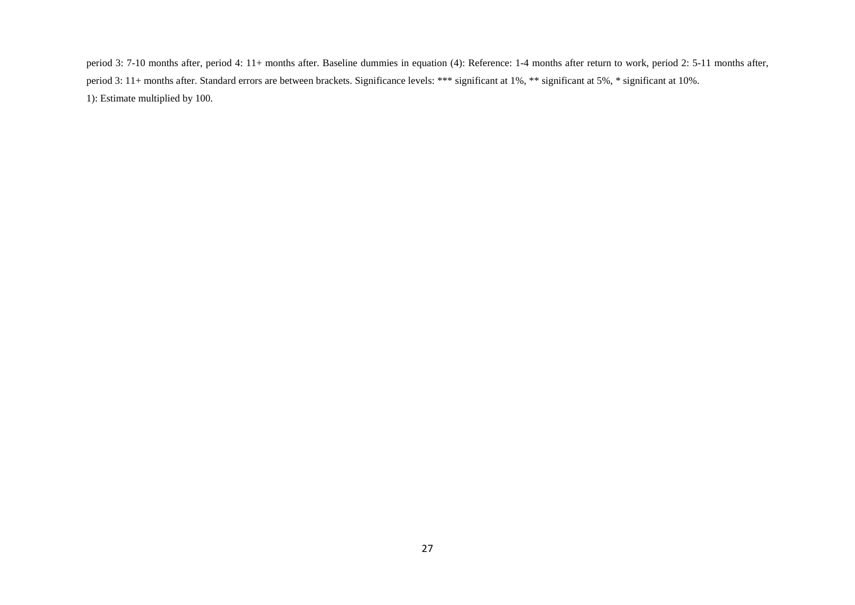period 3: 7-10 months after, period 4: 11+ months after. Baseline dummies in equation (4): Reference: 1-4 months after return to work, period 2: 5-11 months after, period 3: 11+ months after. Standard errors are between brackets. Significance levels: \*\*\* significant at 1%, \*\* significant at 5%, \* significant at 10%. 1): Estimate multiplied by 100.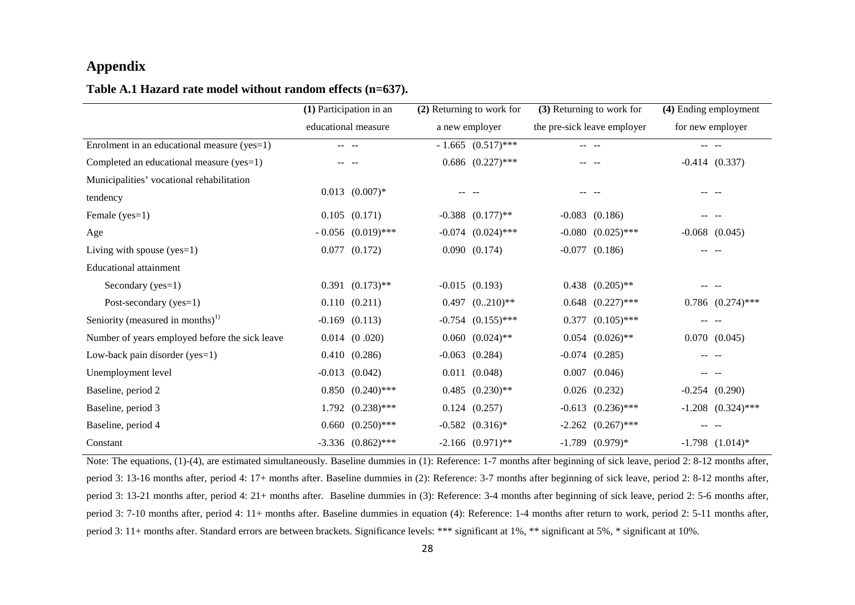#### **Appendix**

#### **Table A.1 Hazard rate model without random effects (n=637).**

|                                                | (1) Participation in an |                        | (2) Returning to work for |                        | (3) Returning to work for |                             | (4) Ending employment |                        |
|------------------------------------------------|-------------------------|------------------------|---------------------------|------------------------|---------------------------|-----------------------------|-----------------------|------------------------|
|                                                | educational measure     |                        |                           | a new employer         |                           | the pre-sick leave employer | for new employer      |                        |
| Enrolment in an educational measure (yes=1)    | -- --                   |                        |                           | $-1.665$ $(0.517)$ *** |                           |                             |                       |                        |
| Completed an educational measure (yes=1)       |                         |                        |                           | $0.686$ $(0.227)$ ***  |                           |                             |                       | $-0.414$ $(0.337)$     |
| Municipalities' vocational rehabilitation      |                         |                        |                           |                        |                           |                             |                       |                        |
| tendency                                       |                         | $0.013$ $(0.007)*$     |                           |                        |                           |                             |                       |                        |
| Female (yes=1)                                 |                         | $0.105$ $(0.171)$      |                           | $-0.388$ $(0.177)$ **  |                           | $-0.083$ $(0.186)$          |                       |                        |
| Age                                            |                         | $-0.056$ $(0.019)$ *** |                           | $-0.074$ $(0.024)$ *** |                           | $-0.080$ $(0.025)$ ***      |                       | $-0.068$ $(0.045)$     |
| Living with spouse $(yes=1)$                   |                         | $0.077$ $(0.172)$      |                           | 0.090 (0.174)          |                           | $-0.077$ $(0.186)$          |                       |                        |
| <b>Educational attainment</b>                  |                         |                        |                           |                        |                           |                             |                       |                        |
| Secondary (yes=1)                              |                         | $0.391$ $(0.173)$ **   |                           | $-0.015$ $(0.193)$     |                           | $0.438$ $(0.205)$ **        |                       |                        |
| Post-secondary (yes=1)                         |                         | 0.110(0.211)           |                           | $0.497 (0.210)$ **     |                           | $0.648$ $(0.227)$ ***       |                       | $0.786$ $(0.274)$ ***  |
| Seniority (measured in months) <sup>1)</sup>   |                         | $-0.169$ $(0.113)$     |                           | $-0.754$ $(0.155)$ *** |                           | $0.377$ $(0.105)$ ***       |                       |                        |
| Number of years employed before the sick leave |                         | $0.014$ $(0.020)$      |                           | $0.060$ $(0.024)$ **   |                           | $0.054$ $(0.026)$ **        |                       | $0.070$ $(0.045)$      |
| Low-back pain disorder (yes=1)                 |                         | 0.410(0.286)           | $-0.063$                  | (0.284)                |                           | $-0.074$ $(0.285)$          |                       |                        |
| Unemployment level                             |                         | $-0.013$ $(0.042)$     | 0.011                     | (0.048)                |                           | $0.007$ $(0.046)$           |                       |                        |
| Baseline, period 2                             |                         | $0.850$ $(0.240)$ ***  |                           | $0.485$ $(0.230)$ **   |                           | $0.026$ $(0.232)$           |                       | $-0.254$ $(0.290)$     |
| Baseline, period 3                             |                         | $1.792 (0.238)$ ***    |                           | $0.124$ $(0.257)$      |                           | $-0.613$ $(0.236)$ ***      |                       | $-1.208$ $(0.324)$ *** |
| Baseline, period 4                             |                         | $0.660$ $(0.250)$ ***  |                           | $-0.582$ $(0.316)*$    |                           | $-2.262$ $(0.267)$ ***      |                       |                        |
| Constant                                       |                         | $-3.336$ $(0.862)$ *** |                           | $-2.166$ $(0.971)$ **  |                           | $-1.789$ $(0.979)*$         |                       | $-1.798$ $(1.014)*$    |

Note: The equations, (1)-(4), are estimated simultaneously. Baseline dummies in (1): Reference: 1-7 months after beginning of sick leave, period 2: 8-12 months after, period 3: 13-16 months after, period 4: 17+ months after. Baseline dummies in (2): Reference: 3-7 months after beginning of sick leave, period 2: 8-12 months after, period 3: 13-21 months after, period 4: 21+ months after. Baseline dummies in (3): Reference: 3-4 months after beginning of sick leave, period 2: 5-6 months after, period 3: 7-10 months after, period 4: 11+ months after. Baseline dummies in equation (4): Reference: 1-4 months after return to work, period 2: 5-11 months after, period 3: 11+ months after. Standard errors are between brackets. Significance levels: \*\*\* significant at 1%, \*\* significant at 5%, \* significant at 10%.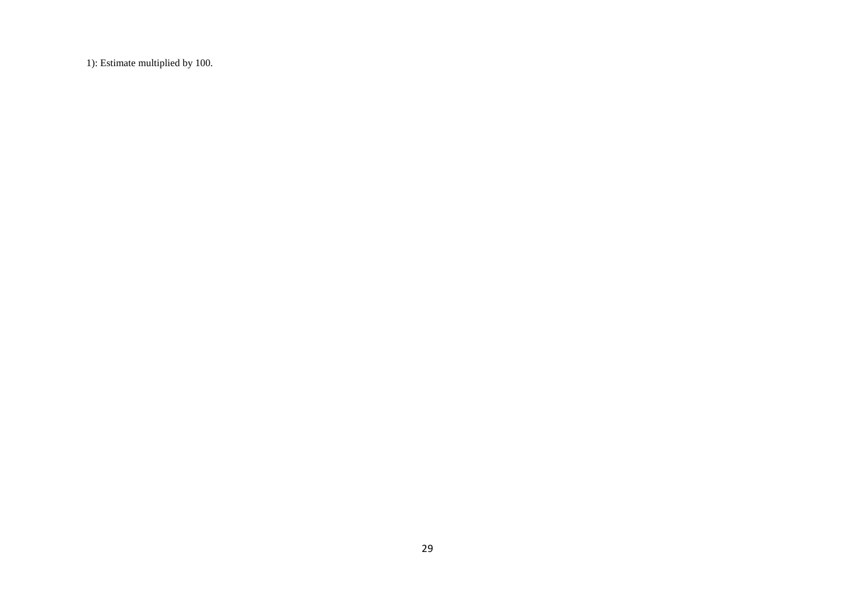1): Estimate multiplied by 100.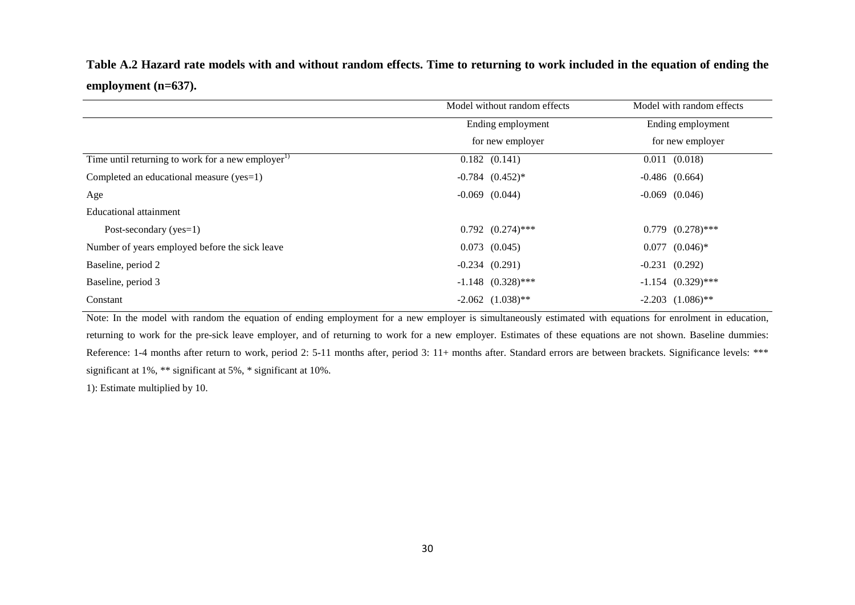**Table A.2 Hazard rate models with and without random effects. Time to returning to work included in the equation of ending the employment (n=637).** 

|                                                               | Model without random effects | Model with random effects |  |  |
|---------------------------------------------------------------|------------------------------|---------------------------|--|--|
|                                                               | Ending employment            | Ending employment         |  |  |
|                                                               | for new employer             | for new employer          |  |  |
| Time until returning to work for a new employer <sup>1)</sup> | $0.182$ $(0.141)$            | $0.011$ $(0.018)$         |  |  |
| Completed an educational measure ( $yes=1$ )                  | $-0.784$ $(0.452)*$          | $-0.486$ $(0.664)$        |  |  |
| Age                                                           | $-0.069$ $(0.044)$           | $-0.069$ $(0.046)$        |  |  |
| Educational attainment                                        |                              |                           |  |  |
| Post-secondary $(yes=1)$                                      | $0.792$ $(0.274)$ ***        | $0.779$ $(0.278)$ ***     |  |  |
| Number of years employed before the sick leave                | $0.073$ $(0.045)$            | $0.077$ $(0.046)*$        |  |  |
| Baseline, period 2                                            | $-0.234(0.291)$              | $-0.231$ $(0.292)$        |  |  |
| Baseline, period 3                                            | $-1.148$ $(0.328)$ ***       | $-1.154$ $(0.329)$ ***    |  |  |
| Constant                                                      | $-2.062$ $(1.038)$ **        | $-2.203$ $(1.086)$ **     |  |  |

Note: In the model with random the equation of ending employment for a new employer is simultaneously estimated with equations for enrolment in education, returning to work for the pre-sick leave employer, and of returning to work for a new employer. Estimates of these equations are not shown. Baseline dummies: Reference: 1-4 months after return to work, period 2: 5-11 months after, period 3: 11+ months after. Standard errors are between brackets. Significance levels: \*\*\* significant at 1%, \*\* significant at 5%, \* significant at 10%.

1): Estimate multiplied by 10.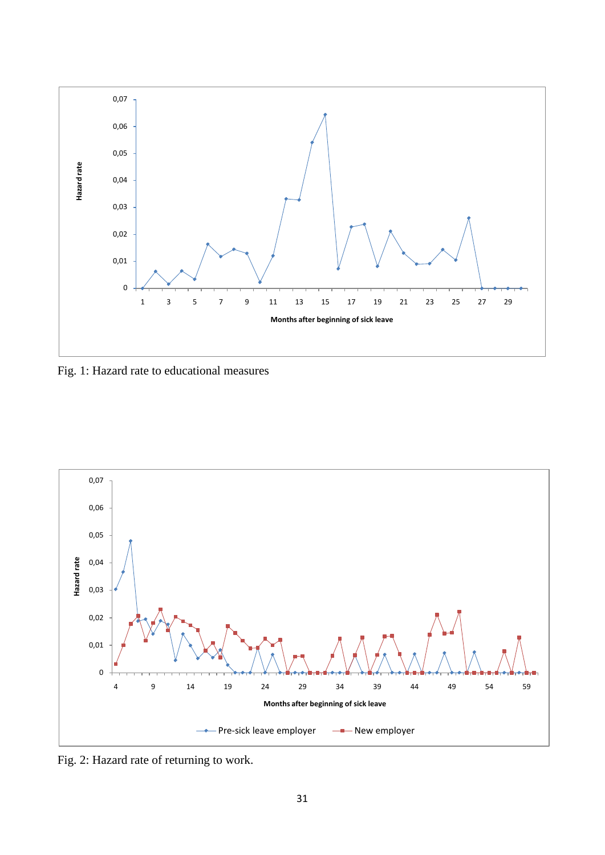

Fig. 1: Hazard rate to educational measures



Fig. 2: Hazard rate of returning to work.